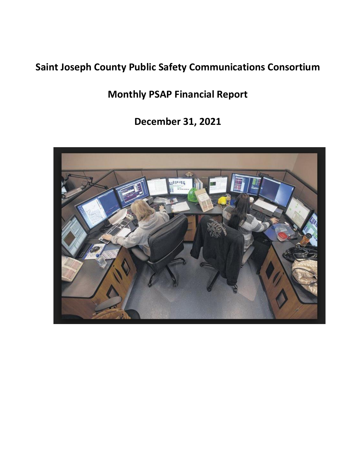# **Saint Joseph County Public Safety Communications Consortium**

**Monthly PSAP Financial Report**

**December 31, 2021**

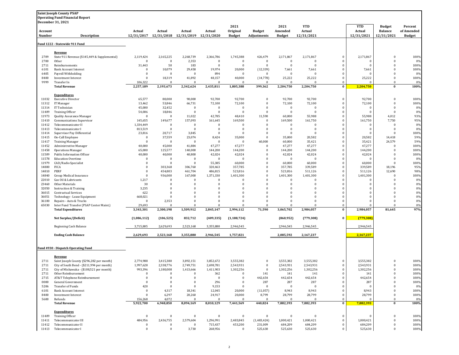|                   | <b>Saint Joseph County PSAP</b>                                  |                       |                                                       |                       |                              |                           |                              |                              |                          |                          |                          |                                 |                             |
|-------------------|------------------------------------------------------------------|-----------------------|-------------------------------------------------------|-----------------------|------------------------------|---------------------------|------------------------------|------------------------------|--------------------------|--------------------------|--------------------------|---------------------------------|-----------------------------|
|                   | <b>Operating Fund Financial Report</b><br>December 31, 2021      |                       |                                                       |                       |                              |                           |                              |                              |                          |                          |                          |                                 |                             |
|                   |                                                                  |                       |                                                       |                       |                              | 2021                      |                              | 2021                         | <b>YTD</b>               |                          | <b>YTD</b>               | <b>Budget</b><br><b>Balance</b> | Percent                     |
| Account<br>Number | Description                                                      | Actual                | Actual<br>12/31/2017 12/31/2018 12/31/2019 12/31/2020 | Actual                | Actual                       | Original<br><b>Budget</b> | <b>Budget</b><br>Adjustments | Amended<br><b>Budget</b>     | Actual<br>12/31/2021     |                          | Actual<br>12/31/2021     | 12/31/2021                      | of Amended<br><b>Budget</b> |
|                   |                                                                  |                       |                                                       |                       |                              |                           |                              |                              |                          |                          |                          |                                 |                             |
|                   | Fund 1222 - Statewide 911 Fund                                   |                       |                                                       |                       |                              |                           |                              |                              |                          |                          |                          |                                 |                             |
|                   | Revenue                                                          |                       |                                                       |                       |                              |                           |                              |                              |                          |                          |                          |                                 |                             |
| 2709<br>2700      | State 911 Revenue (\$145,449 & Supplemental)<br>Other            | 2,119,424<br>$\bf{0}$ | 2,165,225<br>$\bf{0}$                                 | 2,268,739<br>2,353    | 2,366,786<br>$\bf{0}$        | 1,745,388<br>$\mathbf{0}$ | 426,479<br>$\bf{0}$          | 2,171,867<br>$\mathbf{0}$    | 2,171,867<br>$\bf{0}$    | $\bf{0}$<br>$\bf{0}$     | 2,171,867<br>$\Omega$    | $\mathbf{0}$<br>$\Omega$        | 100%<br>0%                  |
| 2711              | Reimbursements                                                   | 31,443                | 50                                                    | 183                   | $\Omega$                     | $\Omega$                  | $\bf{0}$                     | $\Omega$                     | $\Omega$                 | $\bf{0}$                 | $\Omega$                 | $\Omega$                        | 100%                        |
| 6101              | <b>Bank Account Interest</b>                                     | $\Omega$              | 10,079                                                | 29,458                | 19,974                       | 20,000                    | (12, 339)                    | 7,661                        | 7,661                    | $\bf{0}$                 | 7,661                    | 0                               | 100%                        |
| 6405<br>8400      | Payroll Withholding<br>Investment Interest                       | $\bf{0}$<br>$\bf{0}$  | $\bf{0}$<br>18,319                                    | $\Omega$<br>41,892    | 894<br>48,157                | $\Omega$<br>40,000        | $\bf{0}$<br>(14, 778)        | $\Omega$<br>25,222           | $\Omega$<br>25,222       | 0<br>$\bf{0}$            | $\sqrt{ }$<br>25,222     | 0<br>0                          | 0%<br>100%                  |
| 9999              | Transfer In                                                      | 106,322               | $\bf{0}$                                              | $\bf{0}$              | $\bf{0}$                     | $\Omega$                  | $\mathbf{0}$                 | $\mathbf{0}$                 | $\Omega$                 | $\bf{0}$                 | $\sqrt{ }$               | $\mathbf{0}$                    | 0 <sup>9</sup>              |
|                   | <b>Total Revenue</b>                                             | 2,257,189             | 2,193,673                                             | 2,342,624             | 2,435,811                    | 1,805,388                 | 399,362                      | 2,204,750                    | 2,204,750                | $\bf{0}$                 | 2,204,750                | $\bf{0}$                        | 100%                        |
|                   | <b>Expenditures</b>                                              |                       |                                                       |                       |                              |                           |                              |                              |                          |                          |                          |                                 |                             |
| 11032             | <b>Executive Director</b>                                        | 65,577                | 80,000                                                | 90,000                | 92,700                       | 92,700                    | $\bf{0}$                     | 92,700                       | 92,700                   | $\bf{0}$                 | 92,700                   | $\mathbf{0}$                    | 100%                        |
| 11312             | IT Manager                                                       | 13,462                | 53,846                                                | 66,731                | 72,100                       | 72,100                    | $\bf{0}$                     | 72,100                       | 72,100                   | $\bf{0}$                 | 72,100                   | 0                               | 100%                        |
| 11314<br>11409    | IT Technician<br><b>Training Officer</b>                         | 45,000<br>54,006      | 32,452<br>18,846                                      | $\Omega$<br>$\bf{0}$  | $\mathbf{0}$<br>$\mathbf{0}$ | $\Omega$<br>$\bf{0}$      | $\bf{0}$<br>$\bf{0}$         | $\mathbf{0}$<br>$\mathbf{0}$ | $\bf{0}$<br>$\bf{0}$     | $\bf{0}$<br>0            | 0<br>0                   | $\mathbf{0}$<br>$\mathbf{0}$    | 0%<br>0%                    |
| 11973             | Quality Assurance Manager                                        | $\bf{0}$              | $\bf{0}$                                              | 11,022                | 42,785                       | 48,410                    | 11,590                       | 60,000                       | 55,988                   | $\bf{0}$                 | 55,988                   | 4,012                           | 93%                         |
| 11410             | <b>Communications Supervisor</b>                                 | 145,655               | 149,677                                               | 157,093               | 161,645                      | 169,500                   | $\bf{0}$                     | 169,500                      | 161,750                  | $\bf{0}$                 | 161,750                  | 7,750                           | 95%                         |
| 11412             | Telecommunicator II                                              | 1,334,449             | $\bf{0}$                                              | $\bf{0}$              | $\mathbf{0}$                 | $\Omega$                  | $\bf{0}$                     | $\bf{0}$                     | $\bf{0}$                 | $\bf{0}$                 | 0                        | $\mathbf{0}$                    | 0%                          |
| 11413<br>11414    | Telecommunicator I<br>Supervisor Pay Differential                | 813,519<br>23,816     | $\bf{0}$<br>20,717                                    | $\bf{0}$<br>3,845     | $\mathbf{0}$<br>$\Omega$     | $\Omega$<br>$\Omega$      | $\bf{0}$<br>$\Omega$         | $\bf{0}$<br>$\Omega$         | $\bf{0}$<br>$\Omega$     | $\bf{0}$<br>$\mathbf{0}$ | $\mathbf{0}$<br>$\Omega$ | $\mathbf{0}$<br>$\Omega$        | 0%<br>100%                  |
| 11415             | On-Call Employee                                                 | $\bf{0}$              | 37,559                                                | 23,074                | 8,424                        | 35,000                    | $\bf{0}$                     | 35,000                       | 20,582                   | $\bf{0}$                 | 20,582                   | 14,418                          | 59%                         |
| 11417             | <b>Training Manager</b>                                          | $\bf{0}$              | $\bf{0}$                                              | $\bf{0}$              | $\bf{0}$                     | $\Omega$                  | 60,000                       | 60,000                       | 35,421                   | 0                        | 35,421                   | 24,579                          | 59%                         |
| 11452             | <b>Administrative Manager</b>                                    | 40,000                | 45,000                                                | 41,884                | 47,277                       | 47,277                    | $\mathbf{0}$                 | 47,277                       | 47,277                   | 0                        | 47,277                   | $\Omega$                        | 100%                        |
| 11458<br>11509    | <b>Operations Manager</b><br>Public Information Officer          | 65,000<br>40,000      | 125,577<br>40,000                                     | 140,000<br>40,800     | 144,200<br>42,024            | 144,200<br>42,024         | $\bf{0}$<br>$\bf{0}$         | 144,200<br>42,024            | 144,200<br>42,024        | $\bf{0}$<br>$\bf{0}$     | 144,200<br>42,024        | 0<br>$\Omega$                   | 100%<br>100%                |
| 11578             | <b>Education Overtime</b>                                        | $\bf{0}$              | $\bf{0}$                                              | $\bf{0}$              | $\bf{0}$                     | $\Omega$                  | $\bf{0}$                     | $\bf{0}$                     | $\bf{0}$                 | $\bf{0}$                 | C                        | $\mathbf{0}$                    | 0%                          |
| 11979             | CAD/Radio Specialist                                             | $\bf{0}$              | $\overline{0}$                                        | $\Omega$              | 55,385                       | 60,000                    | $\bf{0}$                     | 60,000                       | 60,000                   | $\bf{0}$                 | 60,000                   | $\mathbf{0}$                    | 100%                        |
| 14800             | FICA                                                             | $\bf{0}$              | 303,368                                               | 306,760               | 320,463                      | 357,785                   | $\bf{0}$                     | 357,785                      | 339,589                  | $\bf{0}$                 | 339,589                  | 18,196                          | 95%                         |
| 14810             | PERF                                                             | $\Omega$              | 454,803                                               | 461,704               | 486,815                      | 523,816                   | $\Omega$                     | 523,816                      | 511,126                  | $\mathbf{0}$             | 511,126                  | 12,690                          | 98%                         |
| 14840<br>22010    | Group Medical Insurance<br>Gas Oil & Lubricants                  | $\bf{0}$<br>1,217     | 936,000<br>$\bf{0}$                                   | 167,000<br>$\Omega$   | 1,371,330<br>$\bf{0}$        | 1,401,300<br>$\Omega$     | $\mathbf{0}$<br>$\bf{0}$     | 1,401,300<br>$\mathbf{0}$    | 1,401,300<br>$\bf{0}$    | $\bf{0}$<br>0            | 1,401,300<br>C           | $\bf{0}$<br>0                   | 100%<br>0%                  |
| 23460             | Other Materials                                                  | 30                    | $\overline{0}$                                        | $\Omega$              | $\Omega$                     | $\Omega$                  | $\mathbf{0}$                 | $\bf{0}$                     | $\bf{0}$                 | $\bf{0}$                 | 0                        | 0                               | 0%                          |
| 32050             | <b>Instruction &amp; Training</b>                                | 3,235                 | $\bf{0}$                                              | $\bf{0}$              | $\bf{0}$                     | $\Omega$                  | $\mathbf{0}$                 | $\bf{0}$                     | $\bf{0}$                 | 0                        | 0                        | 0                               | 0%                          |
| 36015             | <b>Contractual Services</b>                                      | 622                   | $\Omega$                                              | $\Omega$              | $\Omega$                     | $\Omega$                  | $\Omega$                     | $\Omega$                     | $\Omega$                 | $\bf{0}$                 | $\Omega$                 | $\Omega$                        | 0%                          |
| 36051<br>36100    | Technology - Lease Equipment<br>Repairs - Auto & Trucks          | 668,021<br>$\theta$   | $\Omega$<br>2,353                                     | $\bf{0}$<br>$\Omega$  | $\mathbf{0}$<br>$\mathbf{0}$ | $\Omega$<br>$\Omega$      | $\mathbf{0}$<br>$\Omega$     | $\bf{0}$<br>$\Omega$         | $\mathbf{0}$<br>$\Omega$ | $\mathbf{0}$<br>$\bf{0}$ | $\Omega$<br>$\Omega$     | 0<br>$\Omega$                   | 0%<br>0%                    |
| 65030             | Inter Fund Transfer (PSAP Center Maint.)                         | 29,693                | $\Omega$                                              | $\Omega$              | $\Omega$                     | $\Omega$                  | $\Omega$                     | $\Omega$                     | $\Omega$                 | $\Omega$                 | $\Omega$                 | $\Omega$                        | 0%                          |
|                   | <b>Total Expenditures</b>                                        | 3,343,301             | 2,300,198                                             | 1,509,912             | 2,845,147                    | 2,994,112                 | 71,590                       | 3,065,702                    | 2,984,057                | $\bf{0}$                 | 2,984,057                | 81,645                          | 97%                         |
|                   | Net Surplus/(Deficit)                                            | (1,086,112)           | (106, 525)                                            | 832,712               | (409, 335)                   | (1, 188, 724)             |                              | (860, 952)                   | (779, 308)               | $\bf{0}$                 | (779, 308)               |                                 |                             |
|                   | Beginning Cash Balance                                           | 3,715,805             | 2,629,693                                             | 2,523,168             | 3,355,880                    | 2,946,545                 |                              | 2,946,545                    | 2,946,545                |                          | 2,946,545                |                                 |                             |
|                   | <b>Ending Cash Balance</b>                                       | 2,629,693             | 2,523,168                                             | 3,355,880             | 2,946,545                    | 1,757,821                 |                              | 2,085,592                    | 2,167,237                |                          | 2,167,237                |                                 |                             |
|                   |                                                                  |                       |                                                       |                       |                              |                           |                              |                              |                          |                          |                          |                                 |                             |
|                   | Fund 4930 - Dispatch Operating Fund                              |                       |                                                       |                       |                              |                           |                              |                              |                          |                          |                          |                                 |                             |
|                   | Revenue                                                          |                       |                                                       |                       |                              |                           |                              |                              |                          |                          |                          |                                 |                             |
| 2711              | Saint Joseph County (\$296,282 per month)                        | 2,774,988             | 3,415,380                                             | 3,892,151             | 3,852,672                    | 3,555,382                 | $\mathbf{0}$                 | 3,555,382                    | 3,555,382                | $\bf{0}$                 | 3,555,382                | $\bf{0}$                        | 100%                        |
| 2711              | City of South Bend - (\$211,994 per month)                       | 1,997,628             | 2,338,776                                             | 2,749,751             | 2,698,781                    | 2,543,931                 | $\bf{0}$                     | 2,543,931                    | 2,543,931                | $\bf{0}$                 | 2,543,931                | $\bf{0}$                        | 100%                        |
| 2711<br>2711      | City of Mishawaka - (\$108,521 per month)<br>Other Reimbursement | 993.396<br>0          | 1.180.008<br>$\bf{0}$                                 | 1.413.666<br>$\bf{0}$ | 1.411.903<br>362             | 1.302.256<br>$\mathbf{0}$ | $\Omega$<br>141              | 1.302.256<br>141             | 1.302.256<br>141         | $\mathbf{0}$<br>$\bf{0}$ | 1.302.256<br>141         | $\Omega$<br>$\bf{0}$            | 100%<br>100%                |
| 2715              | AT&T Telephone Reimbursement                                     | $\bf{0}$              | $\overline{0}$                                        | $\bf{0}$              | $\bf{0}$                     | $\mathbf{0}$              | 442,654                      | 442,654                      | 442,654                  | $\bf{0}$                 | 442,654                  | 0                               | 100%                        |
| 0000              | General Government                                               | $\bf{0}$              | $\overline{0}$                                        | $\bf{0}$              | 296                          | $\mathbf{0}$              | 287                          | 287                          | 287                      | $\bf{0}$                 | 287                      | 0                               | 100%                        |
| 5206              | Transfer of Funds                                                | 420<br>$\bf{0}$       | $\Omega$                                              | $\bf{0}$              | 9,153                        | $\Omega$                  | $\bf{0}$                     | $\bf{0}$                     | $\Omega$                 | $\bf{0}$                 | - 0<br>8,943             | $\Omega$<br>$\Omega$            | 0%                          |
| 6101<br>8400      | <b>Bank Account Interest</b><br><b>Investment Interest</b>       | $\bf{0}$              | 4,317<br>6,297                                        | 18,341<br>20,260      | 12,045<br>24,917             | 20,000<br>20,000          | (11,057)<br>8,799            | 8,943<br>28,799              | 8,943<br>28,799          | $\bf{0}$<br>$\bf{0}$     | 28,799                   | 0                               | 100%<br>100%                |
| 5600              | Refunds                                                          | 156,268               | 4,072                                                 | $\Omega$              | $\bf{0}$                     | $\Omega$                  | $\bf{0}$                     | $\mathbf{0}$                 | $\Omega$                 | $\bf{0}$                 | $\mathbf{0}$             | $\mathbf{0}$                    | 0%                          |
|                   | <b>Total Revenue</b>                                             | 5,922,700             | 6,948,850                                             | 8,094,169             | 8,010,129                    | 7,441,569                 | 440,824                      | 7,882,393                    | 7,882,393                | $\bf{0}$                 | 7,882,393                | $\bf{0}$                        | 100%                        |
|                   | <b>Expenditures</b>                                              |                       |                                                       |                       |                              |                           |                              |                              |                          |                          |                          |                                 |                             |
| 11409             | <b>Training Officer</b>                                          | $\bf{0}$              | $\overline{0}$                                        | $\bf{0}$              | $\bf{0}$                     | $\mathbf{0}$              | $\bf{0}$                     | $\bf{0}$                     | $\bf{0}$                 | 0                        | $\bf{0}$                 | $\mathbf{0}$                    | 100%                        |
| 11411             | Telecommunicator III                                             | 484,956               | 2,436,755                                             | 2,579,604             | 1,296,991                    | 2,483,845                 | (1,483,424)                  | 1,000,421                    | 1,000,421                | $\bf{0}$                 | 1,000,421                | $\boldsymbol{0}$                | 100%                        |
| 11412<br>11413    | Telecommunicator II<br>Telecommunicator                          | $\bf{0}$<br>$\bf{0}$  | $\bf{0}$<br>$\bf{0}$                                  | $\bf{0}$<br>3,730     | 715,437<br>268,956           | 453,200<br>$\mathbf{0}$   | 231,009<br>525,630           | 684,209<br>525,630           | 684,209<br>525,630       | $\bf{0}$<br>$\Omega$     | 684,209<br>525,630       | $\mathbf{0}$<br>$\Omega$        | 100%<br>100%                |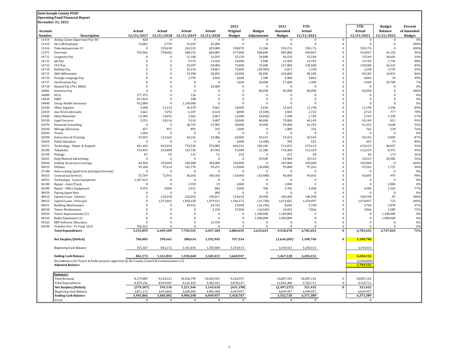## **Saint Joseph County PSAP**

**Operating Fund Financial Report**

|                | <b>December 31, 2021</b>                                                                  |                       |                          |                              |                            |                      |                      |                       |                      |                      |                      |                                 |                       |
|----------------|-------------------------------------------------------------------------------------------|-----------------------|--------------------------|------------------------------|----------------------------|----------------------|----------------------|-----------------------|----------------------|----------------------|----------------------|---------------------------------|-----------------------|
| Account        |                                                                                           | Actual                | Actual                   | Actual                       | Actual                     | 2021<br>Original     | <b>Budget</b>        | 2021<br>Amended       | <b>YTD</b><br>Actual |                      | <b>YTD</b><br>Actual | <b>Budget</b><br><b>Balance</b> | Percent<br>of Amended |
| Number         | <b>Description</b>                                                                        | 12/31/2017            | 12/31/2018               | 12/31/2019                   | 12/31/2020                 | <b>Budget</b>        | <b>Adjustments</b>   | <b>Budget</b>         | 12/31/2021           |                      | 12/31/2021           | 12/31/2021                      | <b>Budget</b>         |
| 11414          | Acting Comm Supervisor Pay Dif                                                            | 420                   | $\Omega$                 | $\Omega$                     | $\overline{0}$             | $\bf{0}$             | $\bf{0}$             | $\bf{0}$              | $\Omega$             | $\Omega$             | $\bf{0}$             | $\bf{0}$                        | 0 <sup>0</sup>        |
| 11415          | On-Call Employee                                                                          | 15,803                | 3,759                    | 31,029                       | 25,200                     | $\mathbf{0}$         | $\bf{0}$             | $\bf{0}$              | $\Omega$             | $\Omega$             | $\bf{0}$             | $\bf{0}$                        | 100%                  |
| 11416          | Telecommunicator IV                                                                       | $\Omega$              | 259,638                  | 242,525                      | 329,080                    | 338,870              | 11,306               | 350,176               | 350,176              | $\theta$             | 350,176              | $\overline{0}$                  | 100%                  |
| 11571<br>14711 | Overtime                                                                                  | 754,546<br>$\Omega$   | 799,682<br>$\Omega$      | 584,353<br>21,186            | 820,083<br>16,595          | 477,000<br>22,150    | 508,000<br>24,000    | 985,000<br>46,150     | 943,847<br>15,549    | $\Omega$<br>$\Omega$ | 943,847<br>15,549    | 41,153<br>30,601                | 96%<br>34%            |
| 14712          | Longevity Pay<br>QA Pay                                                                   | $\mathbf{0}$          | $\bf{0}$                 | 9,573                        | 13,320                     | 10,000               | 5,500                | 15,500                | 13,705               | $\bf{0}$             | 13,705               | 1,795                           | 88%                   |
| 14713          | CTO Pay                                                                                   | $\theta$              | $\Omega$                 | 53.597                       | 58,900                     | 72.000               | 75,000               | 147,000               | 130,588              | $\Omega$             | 130.588              | 16,412                          | 89%                   |
| 14714          | Holiday Pay                                                                               | $\Omega$              | $\Omega$                 | 52,314                       | 54,851                     | 75,000               | (69, 983)            | 5,017                 | 1,258                | $\Omega$             | 1,258                | 3,759                           | 25%                   |
| 14715          | Shift Differential                                                                        | $\Omega$              | $\Omega$                 | 19,998                       | 20,092                     | 22,000               | 82,000               | 104,000               | 89,185               | $\Omega$             | 89,185               | 14,815                          | 86%                   |
| 14716          | Foreign Language Pay                                                                      | $\Omega$              | $\mathbf{0}$             | 2,795                        | 2,436                      | 3,600                | 1,300                | 4,900                 | 4,866                | $\Omega$             | 4,866                | 34                              | 99%                   |
| 14717          | Certification Pay                                                                         | $\Omega$<br>$\Omega$  | $\Omega$<br>$\Omega$     | $\mathbf{0}$<br>$\mathbf{0}$ | $\boldsymbol{0}$<br>42,000 | 7,600<br>$\Omega$    | 20,000<br>$\Omega$   | 27,600<br>$\Omega$    | 1,900<br>$\Omega$    | n                    | 1,900<br>$\Omega$    | 25,700<br>$\Omega$              | 7%<br>0%              |
| 14718<br>16801 | Hazard Pay (70 x \$600)<br><b>Incentive Pay</b>                                           | $\Omega$              | $\Omega$                 | $\Omega$                     | $\overline{0}$             | $\Omega$             | 82,098               | 82,098                | 82,098               | $\Omega$             | 82,098               | $\Omega$                        | 100%                  |
| 14800          | FICA                                                                                      | 277,375               | $\Omega$                 | 126                          | $\bf{0}$                   | $\Omega$             | $\Omega$             | $\bf{0}$              | $\Omega$             | $\Omega$             | $\Omega$             | $\Omega$                        | 0%                    |
| 14810          | PERF                                                                                      | 417,810               | $\Omega$                 | 188                          | $\overline{0}$             | $\Omega$             | $\mathbf{0}$         | $\overline{0}$        | $\Omega$             | $\Omega$             | $\Omega$             | $\Omega$                        | 0%                    |
| 14840          | Group Health Insurance                                                                    | 912,000               | $\Omega$                 | 1,169,000                    | $\Omega$                   | $\Omega$             | $\Omega$             | $\Omega$              | $\Omega$             | $\Omega$             | $\theta$             | $\Omega$                        | 0%                    |
| 21030          | Office Supplies                                                                           | 9,308                 | 11,124                   | 10,570                       | 9,462                      | 10,000               | 2,634                | 12,634                | 11,198               | $\Omega$             | 11,198               | 1,436                           | 89%                   |
| 22010          | Gas Oil & Lubricants                                                                      | 3,661                 | 7,292                    | 6,107                        | 4,124                      | 8,000                | (4,500)              | 3,500                 | 2,723                | $\Omega$             | 2,723                | 777                             | 78%                   |
| 23460          | Other Materials                                                                           | 12,304                | 14,092                   | 3,462                        | 3,067                      | 12,000               | (8,892)              | 3,108                 | 1,769                |                      | 1,769                | 1,338                           | 57%                   |
| 31010<br>31070 | <b>Legal Services</b><br><b>Financial Consulting</b>                                      | 5,351<br>$\mathbf{0}$ | 24,316<br>$\bf{0}$       | 5,913<br>26,747              | 9,487<br>27,905            | 30,000<br>30,000     | 40,000<br>15,000     | 70,000<br>45,000      | 69,149<br>41,353     | $\Omega$             | 69,149<br>41,353     | 851<br>3,648                    | 99%<br>92%            |
| 32010          | Mileage Allowance                                                                         | 657                   | 957                      | 891                          | 745                        | 1,000                | $\bf{0}$             | 1,000                 | 762                  | $\Omega$             | 762                  | 238                             | 76%                   |
| 32020          | Travel                                                                                    | 1,664                 | $\Omega$                 | $\bf{0}$                     | $\bf{0}$                   | $\Omega$             | $\bf{0}$             | $\bf{0}$              | $\Omega$             | $\Omega$             | C                    | $\overline{0}$                  | 0%                    |
| 32050          | <b>Instruction &amp; Training</b>                                                         | 33,933                | 121,662                  | 64,241                       | 54,386                     | 65,000               | 10,414               | 75,414                | 65,545               | $\Omega$             | 65,545               | 9,869                           | 87%                   |
| 32055          | <b>Public Eduation</b>                                                                    | $\Omega$              | $\Omega$                 | $\Omega$                     | $\Omega$                   | 5,000                | (4,300)              | 700                   | 625                  | $\Omega$             | 625                  | 75                              | 89%                   |
| 32071          | Technology - Maint. & Support                                                             | 441,440               | 842,034                  | 774,545                      | 576,082                    | 606,331              | 106,345              | 712,676               | 672,619              | $\Omega$             | 672,619              | 40,057                          | 94%                   |
| 32200          | Telephone                                                                                 | 170,492               | 225,888                  | 123,725                      | 87,942                     | 97,000               | 21,300               | 118,300               | 112,329              | $\Omega$             | 112,329              | 5,971                           | 95%                   |
| 32350<br>33021 | Postage<br>Help Wanted Advertising                                                        | 87<br>$\bf{0}$        | 55<br>$\Omega$           | 131<br>$\mathbf{0}$          | 51<br>$\bf{0}$             | 232<br>$\Omega$      | $\Omega$<br>59,500   | 232<br>59,500         | 60<br>33,515         | $\Omega$<br>$\Omega$ | 60<br>33,515         | 172<br>25,985                   | 26%<br>56%            |
| 34030          | Liabiity Insurance Coverage                                                               | 44.500                | 105.000                  | 105.000                      | 105.000                    | 105.000              | $\Omega$             | 105,000               | 105.000              | $\Omega$             | 105,000              | $\overline{0}$                  | 100%                  |
| 35015          | Utilities                                                                                 | 95,108                | 97,614                   | 101,776                      | 94,251                     | 119,000              | (20,000)             | 99,000                | 97,263               | $\theta$             | 97,263               | 1,737                           | 98%                   |
| 37100          | Auto Leasing (paid from principal/interest)                                               | $\boldsymbol{0}$      | $\Omega$                 | $\bf{0}$                     | $\overline{0}$             | $\Omega$             | $\bf{0}$             | $\bf{0}$              | $\Omega$             | $\Omega$             | C                    | $\bf{0}$                        | 0%                    |
| 36015          | <b>Contractual Services</b>                                                               | 55,769                | 72,941                   | 56,665                       | 106,106                    | 110,000              | (63, 400)            | 46,600                | 45,603               | $\Omega$             | 45,603               | 997                             | 98%                   |
| 36051          | Technology - Lease Equipment                                                              | 1,367,413             | $\Omega$                 | $\Omega$                     | $\bf{0}$                   | $\Omega$             | $\bf{0}$             | $\overline{0}$        | $\Omega$             | $\Omega$             | $\bf{0}$             | $\overline{0}$                  | 0%                    |
| 36100          | Repair - Auto/Truck                                                                       | $\Omega$              | $\mathbf{0}$             | 2,353                        | 35                         | 2,000                | $\mathbf{0}$         | 2,000                 | $\Omega$             | $\Omega$             | $\Omega$             | 2,000                           | 0%                    |
| 36300<br>38010 | Repair - Office Equipment<br>Paying Agent Fees                                            | 4,976<br>$\Omega$     | 5,000<br>$\Omega$        | 3,011<br>$\Omega$            | 846<br>600                 | 5,000<br>$\Omega$    | 706<br>$\Omega$      | 5,706<br>$\Omega$     | 4,380<br>$\Omega$    |                      | 4,380<br>$\Omega$    | 1,326<br>$\bf{0}$               | 77%<br>0%             |
| 38012          | Capital Lease - Interest                                                                  | $\Omega$              | 250,338                  | 222,852                      | 190,017                    | 154,635              | 32,050               | 186,685               | 186,598              |                      | 186,598              | 87                              | 100%                  |
| 38013          | Capital Lease - Principal                                                                 | $\Omega$              | 1,371,042                | 1,402,620                    | 1,479,511                  | 1,506,572            | (31,750)             | 1,474,822             | 1,474,097            | $\theta$             | 1,474,097            | 725                             | 100%                  |
| 36011          | <b>Building Maintenance</b>                                                               | $\Omega$              | $\Omega$                 | 24,912                       | 24,725                     | 25,000               | (16, 354)            | 8,646                 | 5,768                |                      | 5,768                | 2,878                           | 67%                   |
| 36018          | <b>Tower Maintenance</b>                                                                  | $\Omega$              | $\Omega$                 | $\Omega$                     | 2,150                      | 27,000               | (16, 545)            | 10,455                | 7,866                | $\Omega$             | 7,866                | 2,589                           | 75%                   |
| 43010          | Tower Improvements (1)                                                                    | $\Omega$              | $\bf{0}$                 | $\mathbf{0}$                 | $\overline{0}$             | $\bf{0}$             | 1,100,000            | 1,100,000             | $\Omega$             | $\Omega$             | $\bf{0}$             | 1,100,000                       | 0%                    |
| 44310          | Radio Equipment (1)                                                                       | $\Omega$              | $\mathbf{0}$<br>$\theta$ | $\Omega$                     | $\Omega$                   | $\Omega$             | 1,400,000            | 1,400,000<br>$\Omega$ | $\Omega$             | $\Omega$<br>$\theta$ | $\mathbf{0}$         | 1,400,000<br>$\Omega$           | 0%                    |
| 45523<br>65030 | <b>ERP Software Allocation</b><br>Transfer Out - To Fund 1222                             | $\Omega$<br>106,322   |                          | $\mathbf{0}$<br>$\Omega$     | 16,750<br>$\Omega$         | $\bf{0}$<br>$\Omega$ | $\bf{0}$<br>$\Omega$ | $\Omega$              | $\Omega$             | $\Omega$             | $\bf{0}$<br>$\Omega$ | $\Omega$                        | 0%<br>0%              |
|                | <b>Total Expenditures</b>                                                                 | 5,215,895             | 6,649,189                | 7,705,541                    | 6,457,184                  | 6,884,035            | 2,634,643            | 9,518,678             | 6,781,653            | $\Omega$             | 6,781,653            | 2,737,024                       | 71%                   |
|                |                                                                                           |                       |                          |                              |                            |                      |                      |                       |                      |                      |                      |                                 |                       |
|                | Net Surplus/(Deficit)                                                                     | 706,805               | 299,661                  | 388,634                      | 1,552,945                  | 557,534              |                      | (1,636,285)           | 1,100,740            | $\mathbf{0}$         | 1,100,740            |                                 |                       |
|                | Beginning Cash Balance                                                                    | 155,367               | 862,172                  | 1,161,834                    | 1,550,468                  | 3,103,413            |                      | 3,103,413             | 3,103,413            |                      | 3,103,413            |                                 |                       |
|                | <b>Ending Cash Balance</b>                                                                | 862,172               | 1,161,834                | 1,550,468                    | 3,103,413                  | 3,660,947            |                      | 1,467,128             | 4,204,152            |                      | 4,204,152            |                                 |                       |
|                | Encumbrance for Tower & Radio projects approved by the County Council & Commissioners (1) |                       |                          |                              |                            |                      |                      |                       |                      |                      | (2,500,000)          |                                 |                       |
|                | <b>Adjusted Balance</b>                                                                   |                       |                          |                              |                            |                      |                      |                       |                      |                      | 1,704,152            |                                 |                       |
|                | Summary<br><b>Total Revenue</b>                                                           | 8,179,889             | 9,142,523                | 10,436,799                   | 10,445,941                 | 9,246,957            |                      | 10,087,143            | 10,087,142           | $\Omega$             | 10,087,142           |                                 |                       |
|                | <b>Total Expenditures</b>                                                                 | 8,559,196             | 8,949,387                | 9,215,453                    | 9,302,331                  | 9,878,147            |                      | 12,584,380            | 9,765,711            |                      | 9,765,711            |                                 |                       |
|                | Net Surplus/(Deficit)                                                                     | (379, 307)            | 193,136                  | 1,221,346                    | 1,143,610                  | (631, 190)           |                      | (2, 497, 237)         | 321,432              | $\Omega$             | 321,432              |                                 |                       |
|                | Beginning Cash Balance                                                                    | 3,871,172             | 3,491,866                | 3,685,002                    | 4,906,348                  | 6,049,957            |                      | 6,049,957             | 6,049,957            |                      | 6,049,957            |                                 |                       |
|                | <b>Ending Cash Balance</b>                                                                | 3,491,866             | 3,685,002                | 4,906,348                    | 6,049,957                  | 5,418,767            |                      | 3,552,720             | 6,371,389            |                      | 6,371,389            |                                 |                       |
|                | Proof                                                                                     | $\bf{0}$              | $\bf{0}$                 | $\bf{0}$                     | $\bf{0}$                   | $\Omega$             |                      | $\bf{0}$              | $\Omega$             |                      | $\Omega$             |                                 |                       |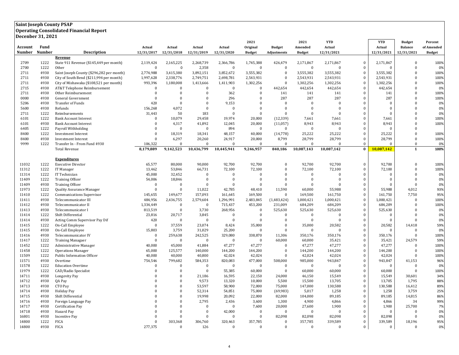## **Saint Joseph County PSAP Operating Consolidated Financial Report Decenber 31, 2021**

|         | DUULIIDUI JI, 6061 |                                           |              |              |                |              | 2021          |               | 2021          | <b>YTD</b>     |                  | <b>YTD</b>   | <b>Budget</b>  | Percent       |
|---------|--------------------|-------------------------------------------|--------------|--------------|----------------|--------------|---------------|---------------|---------------|----------------|------------------|--------------|----------------|---------------|
| Account | Fund               |                                           | Actual       | Actual       | Actual         | Actual       | Original      | <b>Budget</b> | Amended       | Actual         |                  | Actual       | <b>Balance</b> | of Amended    |
| Number  | Number             | <b>Description</b>                        | 12/31/2017   | 12/31/2018   | 12/31/2019     | 12/31/2020   | <b>Budget</b> | Adjustments   | <b>Budget</b> | 12/31/2021     |                  | 12/31/2021   | 12/31/2021     | <b>Budget</b> |
|         |                    | Revenue                                   |              |              |                |              |               |               |               |                |                  |              |                |               |
| 2709    | 1222               | State 911 Revenue (\$145,449 per month)   | 2,119,424    | 2,165,225    | 2,268,739      | 2,366,786    | 1,745,388     | 426,479       | 2,171,867     | 2,171,867      | $\Omega$         | 2,171,867    | $\mathbf{0}$   | 100%          |
| 2700    | 1222               | Other                                     | $\mathbf{0}$ | $\mathbf 0$  | 2,358          | $\bf{0}$     | $\Omega$      | $\bf{0}$      | $\Omega$      | $\Omega$       | $\bf{0}$         | $\Omega$     | $\mathbf{0}$   | 0%            |
| 2711    | 4930               | Saint Joseph County (\$296,282 per month) | 2,774,988    | 3,415,380    | 3,892,151      | 3,852,672    | 3,555,382     | $\mathbf{0}$  | 3,555,382     | 3,555,382      | $\bf{0}$         | 3,555,382    | $\Omega$       | 100%          |
| 2711    | 4930               | City of South Bend (\$211,994 per month)  | 1,997,628    | 2,338,776    | 2,749,751      | 2,698,781    | 2,543,931     | $\Omega$      | 2,543,931     | 2,543,931      | $\bf{0}$         | 2,543,931    | $\theta$       | 100%          |
| 2711    | 4930               | City of Mishawaka (\$108,521 per month)   | 993,396      | 1,180,008    | 1,413,666      | 1,411,903    | 1,302,256     | $\Omega$      | 1,302,256     | 1,302,256      | $\bf{0}$         | 1,302,256    | $\Omega$       | 100%          |
| 2715    | 4930               | AT&T Telephone Reimbursement              | $\mathbf{0}$ | $\Omega$     | $\mathbf{0}$   | $\bf{0}$     | $\Omega$      | 442,654       | 442,654       | 442,654        | $\mathbf{0}$     | 442,654      | $\theta$       | 0%            |
| 2711    | 4930               | Other Reimbursement                       | $\bf{0}$     | $\Omega$     | $\overline{0}$ | 362          | $\mathbf{0}$  | 141           | 141           | 141            | $\bf{0}$         | 141          | $\overline{0}$ | 100%          |
| 0000    | 4930               | General Government                        | $\mathbf{0}$ | $\Omega$     | $\mathbf{0}$   | 296          | $\Omega$      | 287           | 287           | 287            | $\mathbf{0}$     | 287          | $\Omega$       | 100%          |
| 5206    | 4930               | Transfer of Funds                         | 420          | $\mathbf{0}$ | $\overline{0}$ | 9,153        | $\mathbf{0}$  | $\mathbf{0}$  | $\Omega$      | $\overline{0}$ | $\bf{0}$         | $\bf{0}$     | $\mathbf{0}$   | 0%            |
| 5600    | 4930               | Refunds                                   | 156,268      | 4,072        | $\Omega$       | $\theta$     | $\Omega$      | $\Omega$      | $\Omega$      | $\Omega$       | $\bf{0}$         | $\Omega$     | $\theta$       | 0%            |
| 2711    | 1222               | Reimbursements                            | 31,443       | 50           | 183            | $\theta$     | $\mathbf{0}$  | $\Omega$      | $\Omega$      | $\Omega$       | $\mathbf{0}$     | $\theta$     | $\theta$       | 0%            |
| 6101    | 1222               | <b>Bank Account Interest</b>              | $\Omega$     | 10,079       | 29,458         | 19,974       | 20,000        | (12, 339)     | 7,661         | 7,661          | $\bf{0}$         | 7,661        | $\Omega$       | 100%          |
| 6101    | 4930               | <b>Bank Account Interest</b>              | $\Omega$     | 4,317        | 41,892         | 12,045       | 20,000        | (11,057)      | 8,943         | 8,943          | $\bf{0}$         | 8,943        | $\theta$       | 100%          |
| 6405    | 1222               | Payroll Withholding                       | $\mathbf{0}$ | $\mathbf{0}$ | $\overline{0}$ | 894          | $\mathbf{0}$  | $\bf{0}$      | $\bf{0}$      | $\overline{0}$ | $\bf{0}$         | $\theta$     | $\overline{0}$ |               |
| 8400    | 1222               | <b>Investment Interest</b>                | $\Omega$     | 18.319       | 18.341         | 48,157       | 40,000        | (14, 778)     | 25,222        | 25,222         | $\mathbf{0}$     | 25.222       | $\Omega$       | 100%          |
| 8400    | 4930               | <b>Investment Interest</b>                | $\mathbf{0}$ | 6,297        | 20,260         | 24,917       | 20,000        | 8,799         | 28,799        | 28,799         | $\bf{0}$         | 28,799       | $\mathbf{0}$   | 100%          |
| 9999    | 1222               | Transfer In - From Fund 4930              | 106,322      | $\Omega$     | $\Omega$       | $\Omega$     | $\Omega$      | $\Omega$      | $\Omega$      | $\Omega$       | $\bf{0}$         | $\Omega$     | $\Omega$       | 0%            |
|         |                    | <b>Total Revenue</b>                      | 8,179,889    | 9,142,523    | 10,436,799     | 10,445,941   | 9,246,957     | 840,186       | 10,087,143    | 10,087,142     | $\bf{0}$         | 10,087,142   | $\mathbf{1}$   | 100%          |
|         |                    |                                           |              |              |                |              |               |               |               |                |                  |              |                |               |
|         |                    | <b>Expenditures</b>                       |              |              |                |              |               |               |               |                |                  |              |                |               |
| 11032   | 1222               | <b>Executive Director</b>                 | 65,577       | 80,000       | 90,000         | 92,700       | 92,700        | $\Omega$      | 92,700        | 92,700         | $\bf{0}$         | 92,700       | $\Omega$       | 100%          |
| 11312   | 1222               | IT Manager                                | 13,462       | 53,846       | 66,731         | 72,100       | 72,100        | $\Omega$      | 72,100        | 72,100         | $\mathbf{0}$     | 72,100       | $\Omega$       | 100%          |
| 11314   | 1222               | IT Technician                             | 45,000       | 32,452       | $\mathbf{0}$   | $\mathbf{0}$ | $\Omega$      | $\Omega$      | $\mathbf{0}$  | $\Omega$       | $\bf{0}$         | $\Omega$     | $\theta$       | 0%            |
| 11409   | 1222               | <b>Training Officer</b>                   | 54,006       | 18,846       | $\overline{0}$ | $\mathbf{0}$ | $\mathbf{0}$  | $\Omega$      | $\mathbf{0}$  | $\overline{0}$ | $\bf{0}$         | $\mathbf{0}$ | $\mathbf{0}$   | 0%            |
| 11409   | 4930               | <b>Training Officer</b>                   | $\mathbf{0}$ | $\Omega$     | $\Omega$       | $\Omega$     | $\Omega$      | $\Omega$      | $\Omega$      | $\Omega$       | $\bf{0}$         | $\Omega$     | $\Omega$       | 0%            |
| 11973   | 1222               | Quality Assurance Manager                 | $\mathbf{0}$ | $\Omega$     | 11,022         | 42,785       | 48,410        | 11,590        | 60,000        | 55,988         | $\bf{0}$         | 55,988       | 4,012          | 93%           |
| 11410   | 1222               | Communications Supervisor                 | 145,655      | 149,677      | 157,093        | 161,645      | 169,500       | $\Omega$      | 169,500       | 161,750        | $\bf{0}$         | 161,750      | 7,750          | 95%           |
| 11411   | 4930               | Telecommunicator III                      | 484,956      | 2,436,755    | 2,579,604      | 1,296,991    | 2,483,845     | (1,483,424)   | 1,000,421     | 1,000,421      | $\bf{0}$         | 1,000,421    | $\Omega$       | 100%          |
| 11412   | 4930               | Telecommunicator II                       | 1,334,449    | $\Omega$     | $\bf{0}$       | 715,437      | 453,200       | 231,009       | 684,209       | 684,209        | $\bf{0}$         | 684,209      | $\theta$       | 100%          |
| 11413   | 4930               | Telecommunicator I                        | 813,519      | $\theta$     | 3,730          | 268,956      | $\Omega$      | 525,630       | 525,630       | 525,630        | $\bf{0}$         | 525,630      | $\Omega$       | 0%            |
| 11414   | 1222               | Shift Differential                        | 23,816       | 20,717       | 3,845          | $\bf{0}$     | $\Omega$      | $\bf{0}$      | $\mathbf{0}$  | $\Omega$       | $\bf{0}$         | $\Omega$     | $\Omega$       | 0%            |
| 11414   | 4930               | Acting Comm Supervisor Pay Dif            | 420          | $\Omega$     | $\Omega$       | $\Omega$     | $\Omega$      | $\Omega$      | $\Omega$      | $\Omega$       | $\bf{0}$         | $\Omega$     | $\Omega$       | 0%            |
| 11415   | 1222               | On-Call Employee                          | $\Omega$     | 37,559       | 23,074         | 8,424        | 35,000        | $\Omega$      | 35,000        | 20,582         | $\bf{0}$         | 20,582       | 14,418         | 59%           |
| 11415   | 4930               | On-Call Employee                          | 15,803       | 3,759        | 31,029         | 25,200       | $\Omega$      | $\Omega$      | $\mathbf{0}$  | $\Omega$       | $\bf{0}$         | $\Omega$     | $\Omega$       | 0%            |
| 11416   | 4930               | Telecommunicator IV                       | $\bf{0}$     | 259,638      | 242,525        | 329,080      | 338,870       | 11,306        | 350,176       | 350,176        | $\bf{0}$         | 350,176      | $\Omega$       | 100%          |
| 11417   | 1222               | <b>Training Managaer</b>                  | $\bf{0}$     | $\Omega$     | $\bf{0}$       | $\bf{0}$     | $\Omega$      | 60,000        | 60,000        | 35,421         | $\bf{0}$         | 35,421       | 24,579         | 59%           |
| 11452   | 1222               | Administrative Manager                    | 40,000       | 45,000       | 41,884         | 47,277       | 47,277        | $\Omega$      | 47,277        | 47,277         | $\bf{0}$         | 47,277       | $\Omega$       | 100%          |
| 11458   | 1222               | <b>Operations Manager</b>                 | 65,000       | 125,577      | 140,000        | 144,200      | 144,200       | $\Omega$      | 144,200       | 144,200        | $\bf{0}$         | 144,200      | $\Omega$       | 100%          |
| 11509   | 1222               | Public Information Officer                | 40,000       | 40,000       | 40,800         | 42,024       | 42,024        | $\Omega$      | 42,024        | 42,024         | $\bf{0}$         | 42,024       | $\mathbf{0}$   | 100%          |
| 11571   | 4930               | Overtime                                  | 754,546      | 799,682      | 584,353        | 820,083      | 477,000       | 508,000       | 985,000       | 943,847        | $\mathbf 0$      | 943,847      | 41,153         | 96%           |
| 11578   | 1222               | <b>Education Overtime</b>                 | $\Omega$     | $\Omega$     | $\Omega$       | $\mathbf{0}$ | $\mathbf{0}$  | $\Omega$      | $\mathbf{0}$  | $\Omega$       | $\mathbf{0}$     | $\Omega$     | $\Omega$       | 0%            |
| 11979   | 1222               | CAD/Radio Specialist                      | $\Omega$     | $\Omega$     | $\Omega$       | 55,385       | 60,000        | $\mathbf{0}$  | 60,000        | 60,000         | $\bf{0}$         | 60,000       | $\Omega$       | 100%          |
| 14711   | 4930               | Longevity Pay                             | $\Omega$     | $\Omega$     | 21,186         | 16,595       | 22,150        | 24,000        | 46,150        | 15,549         | $\boldsymbol{0}$ | 15,549       | 30,601         | 34%           |
| 14712   | 4930               | QA Pay                                    | $\Omega$     | $\Omega$     | 9,573          | 13,320       | 10,000        | 5,500         | 15,500        | 13,705         | $\bf{0}$         | 13,705       | 1,795          | 88%           |
| 14713   | 4930               | CTO Pay                                   | $\sqrt{ }$   | $\theta$     | 53,597         | 58,900       | 72,000        | 75,000        | 147,000       | 130,588        | $\bf{0}$         | 130,588      | 16,412         | 89%           |
| 14714   | 4930               | Holiday Pay                               | $\Omega$     | $\Omega$     | 52,314         | 54,851       | 75,000        | (69, 983)     | 5,017         | 1,258          | $\mathbf{0}$     | 1,258        | 3,759          | 25%           |
| 14715   | 4930               | Shift Differential                        | $\Omega$     | $\Omega$     | 19,998         | 20,092       | 22,000        | 82,000        | 104,000       | 89,185         | $\bf{0}$         | 89,185       | 14,815         | 86%           |
| 14716   | 4930               | Foreign Language Pay                      | $\Omega$     | $\Omega$     | 2,795          | 2,436        | 3,600         | 1,300         | 4,900         | 4,866          | $\bf{0}$         | 4,866        | 34             | 99%           |
| 14717   | 4930               | <b>Certification Pay</b>                  | $\Omega$     | $\theta$     | $\overline{0}$ | $\bf{0}$     | 7,600         | 20,000        | 27,600        | 1,900          | $\bf{0}$         | 1,900        | 25,700         | 7%            |
| 14718   | 4930               | Hazard Pay                                | $\Omega$     | $\Omega$     | $\overline{0}$ | 42,000       | $\mathbf{0}$  | $\bf{0}$      | $\Omega$      | $\overline{0}$ | $\bf{0}$         | $\bf{0}$     | $\Omega$       | 0%            |
| 16801   | 4930               | <b>Incentive Pay</b>                      | $\Omega$     | $\Omega$     | $\Omega$       | $\mathbf{0}$ | $\mathbf{0}$  | 82,098        | 82,098        | 82,098         | $\mathbf{0}$     | 82,098       | $\mathbf{0}$   | 0%            |
| 14800   | 1222               | <b>FICA</b>                               | $\Omega$     | 303,368      | 306,760        | 320,463      | 357,785       | $\Omega$      | 357,785       | 339,589        | $\bf{0}$         | 339,589      | 18,196         | 95%           |
| 14800   | 4930               | <b>FICA</b>                               | 277,375      | $\Omega$     | 126            | $\mathbf{0}$ | $\Omega$      | $\Omega$      | $\Omega$      | $\mathbf{0}$   | $\mathbf{0}$     | $\bf{0}$     | $\Omega$       | 0%            |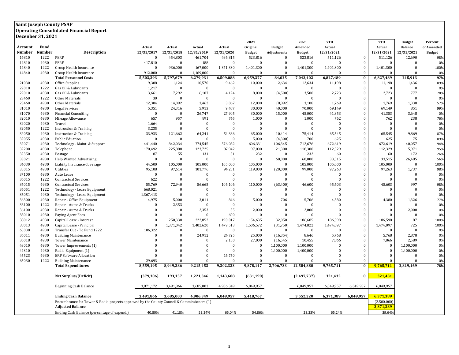#### **Saint Joseph County PSAP Operating Consolidated Financial Report Decenber 31, 2021**

| Fund<br>Account<br>Original<br>Amended<br>Actual<br>Actual<br><b>Balance</b><br>of Amended<br>Actual<br>Actual<br>Actual<br>Actual<br><b>Budget</b><br><b>Number</b><br><b>Number</b><br><b>Description</b><br>12/31/2021<br>12/31/2021<br>12/31/2017<br>12/31/2018<br>12/31/2019<br>12/31/2020<br><b>Budget</b><br>Adjustments<br><b>Budget</b><br>12/31/2021<br><b>Budget</b><br>14810<br>1222<br><b>PERF</b><br>454,803<br>461,704<br>486,815<br>523,816<br>523,816<br>511,126<br>$\Omega$<br>511,126<br>12,690<br>98%<br>$\Omega$<br>$\bf{0}$<br>4930<br>PERF<br>417,810<br>14810<br>$\Omega$<br>188<br>$\Omega$<br>$\mathbf{0}$<br>$\Omega$<br>$\Omega$<br>0%<br>$\bf{0}$<br>$\Omega$<br>$\Omega$<br>$\Omega$<br>14840<br>1222<br>Group Health Insurance<br>$\Omega$<br>936,000<br>167,000<br>1,371,330<br>1,401,300<br>1,401,300<br>1,401,300<br>$\bf{0}$<br>1,401,300<br>$\mathbf{0}$<br>100%<br>$\Omega$<br>14840<br>4930<br>912,000<br>$\Omega$<br>$\Omega$<br>$\Omega$<br>Group Health Insurance<br>$\Omega$<br>1,169,000<br>$\Omega$<br>$\Omega$<br>$\Omega$<br>$\Omega$<br>0%<br><b>Total Personnel Costs</b><br>5,503,393<br>5,797,679<br>6,279,931<br>6,509,088<br>6,959,377<br>84,025<br>7,043,402<br>6,827,489<br>$\bf{0}$<br>6,827,489<br>215,913<br>97%<br>21030<br>4930<br>9,308<br>11,124<br>10,570<br>10,000<br>2,634<br>12,634<br>11,198<br>1,436<br>89%<br>Office Supplies<br>9,462<br>$\bf{0}$<br>11,198<br>22010<br>1222<br>1,217<br>$\Omega$<br>$\Omega$<br>$\bf{0}$<br>$\mathbf{0}$<br>$\mathbf{0}$<br>$\mathbf{0}$<br>$\theta$<br>0%<br>Gas Oil & Lubricants<br>$\Omega$<br>$\Omega$<br>$\Omega$<br>22010<br>4930<br>3,661<br>7,292<br>6,107<br>8,000<br>3,500<br>2,723<br>$\bf{0}$<br>2,723<br>777<br>78%<br>Gas Oil & Lubricants<br>4,124<br>(4,500)<br>23460<br>1222<br>30<br>$\Omega$<br>0%<br>Other Materials<br>$\Omega$<br>$\mathbf{0}$<br>$\Omega$<br>$\mathbf{0}$<br>$\Omega$<br>$\Omega$<br>$\mathbf{0}$<br>$\Omega$<br>$\Omega$<br>4930<br>12,304<br>14,092<br>3,462<br>12,000<br>(8,892)<br>3,108<br>1,769<br>$\mathbf{0}$<br>1,769<br>1,338<br>57%<br>23460<br>Other Materials<br>3,067<br>$\mathbf{0}$<br>851<br>31010<br>4930<br><b>Legal Services</b><br>5,351<br>24,316<br>5,913<br>9,487<br>30,000<br>40,000<br>70,000<br>69,149<br>69,149<br>99%<br>31070<br>4930<br>26,747<br>27,905<br>30,000<br>45,000<br>41,353<br>41,353<br>3,648<br><b>Financial Consulting</b><br>$\bf{0}$<br>$\Omega$<br>15,000<br>$\mathbf{0}$<br>0%<br>657<br>957<br>891<br>32010<br>4930<br>Mileage Allowance<br>745<br>1,000<br>$\Omega$<br>1,000<br>762<br>$\Omega$<br>762<br>238<br>76%<br>32020<br>4930<br>$\bf{0}$<br>Travel<br>1,664<br>$\Omega$<br>$\mathbf{0}$<br>$\Omega$<br>$\Omega$<br>$\Omega$<br>$\Omega$<br>$\Omega$<br>$\bf{0}$<br>$\Omega$<br>0% |
|--------------------------------------------------------------------------------------------------------------------------------------------------------------------------------------------------------------------------------------------------------------------------------------------------------------------------------------------------------------------------------------------------------------------------------------------------------------------------------------------------------------------------------------------------------------------------------------------------------------------------------------------------------------------------------------------------------------------------------------------------------------------------------------------------------------------------------------------------------------------------------------------------------------------------------------------------------------------------------------------------------------------------------------------------------------------------------------------------------------------------------------------------------------------------------------------------------------------------------------------------------------------------------------------------------------------------------------------------------------------------------------------------------------------------------------------------------------------------------------------------------------------------------------------------------------------------------------------------------------------------------------------------------------------------------------------------------------------------------------------------------------------------------------------------------------------------------------------------------------------------------------------------------------------------------------------------------------------------------------------------------------------------------------------------------------------------------------------------------------------------------------------------------------------------------------------------------------------------------------------------------------------------------------------------------------------------------------------------------------------------------------------------------------------------------------------------------------------------------------------------------------------------------------------------------------------------------------------------------------------------------------------------------------------------------------------------------------------------------------------------------------------------------------------|
|                                                                                                                                                                                                                                                                                                                                                                                                                                                                                                                                                                                                                                                                                                                                                                                                                                                                                                                                                                                                                                                                                                                                                                                                                                                                                                                                                                                                                                                                                                                                                                                                                                                                                                                                                                                                                                                                                                                                                                                                                                                                                                                                                                                                                                                                                                                                                                                                                                                                                                                                                                                                                                                                                                                                                                                            |
|                                                                                                                                                                                                                                                                                                                                                                                                                                                                                                                                                                                                                                                                                                                                                                                                                                                                                                                                                                                                                                                                                                                                                                                                                                                                                                                                                                                                                                                                                                                                                                                                                                                                                                                                                                                                                                                                                                                                                                                                                                                                                                                                                                                                                                                                                                                                                                                                                                                                                                                                                                                                                                                                                                                                                                                            |
|                                                                                                                                                                                                                                                                                                                                                                                                                                                                                                                                                                                                                                                                                                                                                                                                                                                                                                                                                                                                                                                                                                                                                                                                                                                                                                                                                                                                                                                                                                                                                                                                                                                                                                                                                                                                                                                                                                                                                                                                                                                                                                                                                                                                                                                                                                                                                                                                                                                                                                                                                                                                                                                                                                                                                                                            |
|                                                                                                                                                                                                                                                                                                                                                                                                                                                                                                                                                                                                                                                                                                                                                                                                                                                                                                                                                                                                                                                                                                                                                                                                                                                                                                                                                                                                                                                                                                                                                                                                                                                                                                                                                                                                                                                                                                                                                                                                                                                                                                                                                                                                                                                                                                                                                                                                                                                                                                                                                                                                                                                                                                                                                                                            |
|                                                                                                                                                                                                                                                                                                                                                                                                                                                                                                                                                                                                                                                                                                                                                                                                                                                                                                                                                                                                                                                                                                                                                                                                                                                                                                                                                                                                                                                                                                                                                                                                                                                                                                                                                                                                                                                                                                                                                                                                                                                                                                                                                                                                                                                                                                                                                                                                                                                                                                                                                                                                                                                                                                                                                                                            |
|                                                                                                                                                                                                                                                                                                                                                                                                                                                                                                                                                                                                                                                                                                                                                                                                                                                                                                                                                                                                                                                                                                                                                                                                                                                                                                                                                                                                                                                                                                                                                                                                                                                                                                                                                                                                                                                                                                                                                                                                                                                                                                                                                                                                                                                                                                                                                                                                                                                                                                                                                                                                                                                                                                                                                                                            |
|                                                                                                                                                                                                                                                                                                                                                                                                                                                                                                                                                                                                                                                                                                                                                                                                                                                                                                                                                                                                                                                                                                                                                                                                                                                                                                                                                                                                                                                                                                                                                                                                                                                                                                                                                                                                                                                                                                                                                                                                                                                                                                                                                                                                                                                                                                                                                                                                                                                                                                                                                                                                                                                                                                                                                                                            |
|                                                                                                                                                                                                                                                                                                                                                                                                                                                                                                                                                                                                                                                                                                                                                                                                                                                                                                                                                                                                                                                                                                                                                                                                                                                                                                                                                                                                                                                                                                                                                                                                                                                                                                                                                                                                                                                                                                                                                                                                                                                                                                                                                                                                                                                                                                                                                                                                                                                                                                                                                                                                                                                                                                                                                                                            |
|                                                                                                                                                                                                                                                                                                                                                                                                                                                                                                                                                                                                                                                                                                                                                                                                                                                                                                                                                                                                                                                                                                                                                                                                                                                                                                                                                                                                                                                                                                                                                                                                                                                                                                                                                                                                                                                                                                                                                                                                                                                                                                                                                                                                                                                                                                                                                                                                                                                                                                                                                                                                                                                                                                                                                                                            |
|                                                                                                                                                                                                                                                                                                                                                                                                                                                                                                                                                                                                                                                                                                                                                                                                                                                                                                                                                                                                                                                                                                                                                                                                                                                                                                                                                                                                                                                                                                                                                                                                                                                                                                                                                                                                                                                                                                                                                                                                                                                                                                                                                                                                                                                                                                                                                                                                                                                                                                                                                                                                                                                                                                                                                                                            |
|                                                                                                                                                                                                                                                                                                                                                                                                                                                                                                                                                                                                                                                                                                                                                                                                                                                                                                                                                                                                                                                                                                                                                                                                                                                                                                                                                                                                                                                                                                                                                                                                                                                                                                                                                                                                                                                                                                                                                                                                                                                                                                                                                                                                                                                                                                                                                                                                                                                                                                                                                                                                                                                                                                                                                                                            |
|                                                                                                                                                                                                                                                                                                                                                                                                                                                                                                                                                                                                                                                                                                                                                                                                                                                                                                                                                                                                                                                                                                                                                                                                                                                                                                                                                                                                                                                                                                                                                                                                                                                                                                                                                                                                                                                                                                                                                                                                                                                                                                                                                                                                                                                                                                                                                                                                                                                                                                                                                                                                                                                                                                                                                                                            |
|                                                                                                                                                                                                                                                                                                                                                                                                                                                                                                                                                                                                                                                                                                                                                                                                                                                                                                                                                                                                                                                                                                                                                                                                                                                                                                                                                                                                                                                                                                                                                                                                                                                                                                                                                                                                                                                                                                                                                                                                                                                                                                                                                                                                                                                                                                                                                                                                                                                                                                                                                                                                                                                                                                                                                                                            |
|                                                                                                                                                                                                                                                                                                                                                                                                                                                                                                                                                                                                                                                                                                                                                                                                                                                                                                                                                                                                                                                                                                                                                                                                                                                                                                                                                                                                                                                                                                                                                                                                                                                                                                                                                                                                                                                                                                                                                                                                                                                                                                                                                                                                                                                                                                                                                                                                                                                                                                                                                                                                                                                                                                                                                                                            |
|                                                                                                                                                                                                                                                                                                                                                                                                                                                                                                                                                                                                                                                                                                                                                                                                                                                                                                                                                                                                                                                                                                                                                                                                                                                                                                                                                                                                                                                                                                                                                                                                                                                                                                                                                                                                                                                                                                                                                                                                                                                                                                                                                                                                                                                                                                                                                                                                                                                                                                                                                                                                                                                                                                                                                                                            |
|                                                                                                                                                                                                                                                                                                                                                                                                                                                                                                                                                                                                                                                                                                                                                                                                                                                                                                                                                                                                                                                                                                                                                                                                                                                                                                                                                                                                                                                                                                                                                                                                                                                                                                                                                                                                                                                                                                                                                                                                                                                                                                                                                                                                                                                                                                                                                                                                                                                                                                                                                                                                                                                                                                                                                                                            |
| 32050<br>1222<br>3,235<br>$\Omega$<br>$\Omega$<br>$\Omega$<br>$\Omega$<br>$\Omega$<br>$\Omega$<br>$\Omega$<br>$\Omega$<br>$\mathbf{0}$<br>$\Omega$<br>0%<br><b>Instruction &amp; Training</b>                                                                                                                                                                                                                                                                                                                                                                                                                                                                                                                                                                                                                                                                                                                                                                                                                                                                                                                                                                                                                                                                                                                                                                                                                                                                                                                                                                                                                                                                                                                                                                                                                                                                                                                                                                                                                                                                                                                                                                                                                                                                                                                                                                                                                                                                                                                                                                                                                                                                                                                                                                                              |
| 32050<br>4930<br>33,933<br>54,386<br>$\bf{0}$<br>9,869<br>87%<br><b>Instruction &amp; Training</b><br>121,662<br>64,241<br>65,000<br>10,414<br>75,414<br>65,545<br>65,545                                                                                                                                                                                                                                                                                                                                                                                                                                                                                                                                                                                                                                                                                                                                                                                                                                                                                                                                                                                                                                                                                                                                                                                                                                                                                                                                                                                                                                                                                                                                                                                                                                                                                                                                                                                                                                                                                                                                                                                                                                                                                                                                                                                                                                                                                                                                                                                                                                                                                                                                                                                                                  |
| 32055<br>700<br>625<br>75<br>4930<br>$\mathbf{0}$<br>$\Omega$<br>$\Omega$<br>$\mathbf{0}$<br>5,000<br>(4,300)<br>$\mathbf{0}$<br>625<br>89%<br><b>Public Eduation</b>                                                                                                                                                                                                                                                                                                                                                                                                                                                                                                                                                                                                                                                                                                                                                                                                                                                                                                                                                                                                                                                                                                                                                                                                                                                                                                                                                                                                                                                                                                                                                                                                                                                                                                                                                                                                                                                                                                                                                                                                                                                                                                                                                                                                                                                                                                                                                                                                                                                                                                                                                                                                                      |
| 32071<br>842,034<br>576,082<br>712,676<br>672,619<br>$\mathbf{0}$<br>40,057<br>4930<br>Technology - Maint. & Support<br>441,440<br>774,545<br>606,331<br>106,345<br>672,619<br>94%                                                                                                                                                                                                                                                                                                                                                                                                                                                                                                                                                                                                                                                                                                                                                                                                                                                                                                                                                                                                                                                                                                                                                                                                                                                                                                                                                                                                                                                                                                                                                                                                                                                                                                                                                                                                                                                                                                                                                                                                                                                                                                                                                                                                                                                                                                                                                                                                                                                                                                                                                                                                         |
| 32200<br>4930<br>170,492<br>225,888<br>123,725<br>87,942<br>97,000<br>118,300<br>112,329<br>$\mathbf{0}$<br>112.329<br>5,971<br>Telephone<br>21,300<br>95%                                                                                                                                                                                                                                                                                                                                                                                                                                                                                                                                                                                                                                                                                                                                                                                                                                                                                                                                                                                                                                                                                                                                                                                                                                                                                                                                                                                                                                                                                                                                                                                                                                                                                                                                                                                                                                                                                                                                                                                                                                                                                                                                                                                                                                                                                                                                                                                                                                                                                                                                                                                                                                 |
| 32350<br>87<br>232<br>232<br>172<br>4930<br>Postage<br>55<br>131<br>51<br>$\bf{0}$<br>60<br>$\bf{0}$<br>60<br>26%                                                                                                                                                                                                                                                                                                                                                                                                                                                                                                                                                                                                                                                                                                                                                                                                                                                                                                                                                                                                                                                                                                                                                                                                                                                                                                                                                                                                                                                                                                                                                                                                                                                                                                                                                                                                                                                                                                                                                                                                                                                                                                                                                                                                                                                                                                                                                                                                                                                                                                                                                                                                                                                                          |
| 60,000<br>26,485<br>33021<br>4930<br><b>Help Wanted Advertising</b><br>$\Omega$<br>$\Omega$<br>$\Omega$<br>$\mathbf{0}$<br>$\theta$<br>60,000<br>33,515<br>$\mathbf{0}$<br>33,515<br>56%                                                                                                                                                                                                                                                                                                                                                                                                                                                                                                                                                                                                                                                                                                                                                                                                                                                                                                                                                                                                                                                                                                                                                                                                                                                                                                                                                                                                                                                                                                                                                                                                                                                                                                                                                                                                                                                                                                                                                                                                                                                                                                                                                                                                                                                                                                                                                                                                                                                                                                                                                                                                   |
| 34030<br>$\mathbf{0}$<br>4930<br>44,500<br>105,000<br>105,000<br>$\mathbf{0}$<br>105,000<br>105,000<br>105,000<br>$\Omega$<br>100%<br>Liabiity Insurance Coverage<br>105,000<br>105,000                                                                                                                                                                                                                                                                                                                                                                                                                                                                                                                                                                                                                                                                                                                                                                                                                                                                                                                                                                                                                                                                                                                                                                                                                                                                                                                                                                                                                                                                                                                                                                                                                                                                                                                                                                                                                                                                                                                                                                                                                                                                                                                                                                                                                                                                                                                                                                                                                                                                                                                                                                                                    |
| 35015<br>4930<br>95,108<br>94,251<br>99,000<br>1,737<br>Utilities<br>97,614<br>101,776<br>119,000<br>(20,000)<br>97,263<br>$\bf{0}$<br>97,263<br>98%                                                                                                                                                                                                                                                                                                                                                                                                                                                                                                                                                                                                                                                                                                                                                                                                                                                                                                                                                                                                                                                                                                                                                                                                                                                                                                                                                                                                                                                                                                                                                                                                                                                                                                                                                                                                                                                                                                                                                                                                                                                                                                                                                                                                                                                                                                                                                                                                                                                                                                                                                                                                                                       |
| 37100<br>4930<br>$\mathbf{0}$<br>$\Omega$<br>$\overline{0}$<br>$\bf{0}$<br>$\Omega$<br>$\Omega$<br>$\Omega$<br>$\mathbf{0}$<br>Auto Lease<br>$\Omega$<br>$\Omega$<br>$\Omega$<br>0%                                                                                                                                                                                                                                                                                                                                                                                                                                                                                                                                                                                                                                                                                                                                                                                                                                                                                                                                                                                                                                                                                                                                                                                                                                                                                                                                                                                                                                                                                                                                                                                                                                                                                                                                                                                                                                                                                                                                                                                                                                                                                                                                                                                                                                                                                                                                                                                                                                                                                                                                                                                                        |
| 36015<br>1222<br>622<br><b>Contractual Services</b><br>$\Omega$<br>$\mathbf{0}$<br>$\mathbf{0}$<br>$\bf{0}$<br>$\Omega$<br>$\Omega$<br>$\Omega$<br>$\mathbf{0}$<br>$\Omega$<br>$\Omega$<br>0%                                                                                                                                                                                                                                                                                                                                                                                                                                                                                                                                                                                                                                                                                                                                                                                                                                                                                                                                                                                                                                                                                                                                                                                                                                                                                                                                                                                                                                                                                                                                                                                                                                                                                                                                                                                                                                                                                                                                                                                                                                                                                                                                                                                                                                                                                                                                                                                                                                                                                                                                                                                              |
| 36015<br>45,603<br>997<br>4930<br>55,769<br>72,940<br>56,665<br>106,106<br>110,000<br>(63, 400)<br>46,600<br>$\Omega$<br>45,603<br>98%<br><b>Contractual Services</b>                                                                                                                                                                                                                                                                                                                                                                                                                                                                                                                                                                                                                                                                                                                                                                                                                                                                                                                                                                                                                                                                                                                                                                                                                                                                                                                                                                                                                                                                                                                                                                                                                                                                                                                                                                                                                                                                                                                                                                                                                                                                                                                                                                                                                                                                                                                                                                                                                                                                                                                                                                                                                      |
| 36051<br>1222<br>668,021<br>$\overline{0}$<br>Technology - Lease Equipment<br>$\mathbf{0}$<br>$\bf{0}$<br>$\mathbf{0}$<br>$\bf{0}$<br>$\Omega$<br>$\Omega$<br>$\Omega$<br>$\bf{0}$<br>$\Omega$<br>0%                                                                                                                                                                                                                                                                                                                                                                                                                                                                                                                                                                                                                                                                                                                                                                                                                                                                                                                                                                                                                                                                                                                                                                                                                                                                                                                                                                                                                                                                                                                                                                                                                                                                                                                                                                                                                                                                                                                                                                                                                                                                                                                                                                                                                                                                                                                                                                                                                                                                                                                                                                                       |
| 36051<br>4930<br>1,367,413<br>$\Omega$<br>$\Omega$<br>$\Omega$<br>$\Omega$<br>$\Omega$<br>$\Omega$<br>$\Omega$<br>$\Omega$<br>$\mathbf{0}$<br>$\Omega$<br>0%<br>Technology - Lease Equipment                                                                                                                                                                                                                                                                                                                                                                                                                                                                                                                                                                                                                                                                                                                                                                                                                                                                                                                                                                                                                                                                                                                                                                                                                                                                                                                                                                                                                                                                                                                                                                                                                                                                                                                                                                                                                                                                                                                                                                                                                                                                                                                                                                                                                                                                                                                                                                                                                                                                                                                                                                                               |
| 5,000<br>4,380<br>1,326<br>77%<br>36300<br>4930<br>Repair - Office Equipment<br>4,975<br>5,000<br>3,011<br>846<br>706<br>5,706<br>4,380<br>$\Omega$                                                                                                                                                                                                                                                                                                                                                                                                                                                                                                                                                                                                                                                                                                                                                                                                                                                                                                                                                                                                                                                                                                                                                                                                                                                                                                                                                                                                                                                                                                                                                                                                                                                                                                                                                                                                                                                                                                                                                                                                                                                                                                                                                                                                                                                                                                                                                                                                                                                                                                                                                                                                                                        |
| 36100<br>1222<br>2,353<br>$\Omega$<br>Repair - Autos & Trucks<br>$\Omega$<br>$\mathbf{0}$<br>$\theta$<br>$\theta$<br>$\Omega$<br>$\Omega$<br>$\mathbf{0}$<br>$\Omega$<br>$\Omega$<br>0%                                                                                                                                                                                                                                                                                                                                                                                                                                                                                                                                                                                                                                                                                                                                                                                                                                                                                                                                                                                                                                                                                                                                                                                                                                                                                                                                                                                                                                                                                                                                                                                                                                                                                                                                                                                                                                                                                                                                                                                                                                                                                                                                                                                                                                                                                                                                                                                                                                                                                                                                                                                                    |
| 36100<br>2,353<br>35<br>2,000<br>2,000<br>4930<br>Repair - Autos & Trucks<br>$\Omega$<br>$\Omega$<br>2,000<br>$\Omega$<br>$\Omega$<br>$\mathbf{0}$<br>$\bf{0}$<br>0%                                                                                                                                                                                                                                                                                                                                                                                                                                                                                                                                                                                                                                                                                                                                                                                                                                                                                                                                                                                                                                                                                                                                                                                                                                                                                                                                                                                                                                                                                                                                                                                                                                                                                                                                                                                                                                                                                                                                                                                                                                                                                                                                                                                                                                                                                                                                                                                                                                                                                                                                                                                                                       |
| 38010<br>4930<br>$\Omega$<br>$\Omega$<br>600<br>$\Omega$<br>$\Omega$<br>$\Omega$<br>$\Omega$<br>$\Omega$<br>$\mathbf{0}$<br>0%<br>Paying Agent Fees<br>$\Omega$<br>$\Omega$                                                                                                                                                                                                                                                                                                                                                                                                                                                                                                                                                                                                                                                                                                                                                                                                                                                                                                                                                                                                                                                                                                                                                                                                                                                                                                                                                                                                                                                                                                                                                                                                                                                                                                                                                                                                                                                                                                                                                                                                                                                                                                                                                                                                                                                                                                                                                                                                                                                                                                                                                                                                                |
| 38012<br>4930<br>250,338<br>222,852<br>190,017<br>$\mathbf{0}$<br>87<br>100%<br>Capital Lease - Interest<br>$\Omega$<br>154,635<br>32,050<br>186,685<br>186,598<br>186,598                                                                                                                                                                                                                                                                                                                                                                                                                                                                                                                                                                                                                                                                                                                                                                                                                                                                                                                                                                                                                                                                                                                                                                                                                                                                                                                                                                                                                                                                                                                                                                                                                                                                                                                                                                                                                                                                                                                                                                                                                                                                                                                                                                                                                                                                                                                                                                                                                                                                                                                                                                                                                 |
| 38013<br>1,402,620<br>1,506,572<br>1,474,822<br>1,474,097<br>725<br>4930<br>Capital Lease - Principal<br>1,371,042<br>1,479,513<br>(31,750)<br>1,474,097<br>$\Omega$<br>100%<br>$\Omega$                                                                                                                                                                                                                                                                                                                                                                                                                                                                                                                                                                                                                                                                                                                                                                                                                                                                                                                                                                                                                                                                                                                                                                                                                                                                                                                                                                                                                                                                                                                                                                                                                                                                                                                                                                                                                                                                                                                                                                                                                                                                                                                                                                                                                                                                                                                                                                                                                                                                                                                                                                                                   |
| 106,322<br>65030<br>4930<br>$\Omega$<br>$\Omega$<br>$\bf{0}$<br>$\Omega$<br>$\Omega$<br>$\mathbf{0}$<br>Transfer Out - To Fund 1222<br>$\mathbf{0}$<br>$\Omega$<br>$\Omega$<br>$\Omega$<br>0%                                                                                                                                                                                                                                                                                                                                                                                                                                                                                                                                                                                                                                                                                                                                                                                                                                                                                                                                                                                                                                                                                                                                                                                                                                                                                                                                                                                                                                                                                                                                                                                                                                                                                                                                                                                                                                                                                                                                                                                                                                                                                                                                                                                                                                                                                                                                                                                                                                                                                                                                                                                              |
| 2,878<br>36011<br>4930<br><b>Building Maintenance</b><br>$\Omega$<br>$\Omega$<br>24,912<br>24,725<br>25,000<br>(16, 354)<br>8,646<br>5,768<br>$\bf{0}$<br>5,768<br>0%                                                                                                                                                                                                                                                                                                                                                                                                                                                                                                                                                                                                                                                                                                                                                                                                                                                                                                                                                                                                                                                                                                                                                                                                                                                                                                                                                                                                                                                                                                                                                                                                                                                                                                                                                                                                                                                                                                                                                                                                                                                                                                                                                                                                                                                                                                                                                                                                                                                                                                                                                                                                                      |
| 36018<br>4930<br>2,150<br>27,000<br>10,455<br>$\mathbf{0}$<br>2,589<br>0%<br><b>Tower Maintenance</b><br>$\theta$<br>$\Omega$<br>$\mathbf{0}$<br>(16, 545)<br>7,866<br>7,866                                                                                                                                                                                                                                                                                                                                                                                                                                                                                                                                                                                                                                                                                                                                                                                                                                                                                                                                                                                                                                                                                                                                                                                                                                                                                                                                                                                                                                                                                                                                                                                                                                                                                                                                                                                                                                                                                                                                                                                                                                                                                                                                                                                                                                                                                                                                                                                                                                                                                                                                                                                                               |
| 43010<br>4930<br>Tower Improvements (1)<br>$\Omega$<br>$\Omega$<br>$\Omega$<br>$\Omega$<br>1,100,000<br>1,100,000<br>$\Omega$<br>$\Omega$<br>$\bf{0}$<br>1,100,000<br>0%<br>$\Omega$                                                                                                                                                                                                                                                                                                                                                                                                                                                                                                                                                                                                                                                                                                                                                                                                                                                                                                                                                                                                                                                                                                                                                                                                                                                                                                                                                                                                                                                                                                                                                                                                                                                                                                                                                                                                                                                                                                                                                                                                                                                                                                                                                                                                                                                                                                                                                                                                                                                                                                                                                                                                       |
| 44310<br>4930<br>$\Omega$<br>$\mathbf{0}$<br>$\Omega$<br>$\theta$<br>1,400,000<br>1,400,000<br>$\mathbf{0}$<br>$\bf{0}$<br>1,400,000<br>0%<br>Radio Equipment (1)<br>$\Omega$<br>$\Omega$                                                                                                                                                                                                                                                                                                                                                                                                                                                                                                                                                                                                                                                                                                                                                                                                                                                                                                                                                                                                                                                                                                                                                                                                                                                                                                                                                                                                                                                                                                                                                                                                                                                                                                                                                                                                                                                                                                                                                                                                                                                                                                                                                                                                                                                                                                                                                                                                                                                                                                                                                                                                  |
| 45523<br>4930<br><b>ERP Software Allocation</b><br>$\Omega$<br>$\Omega$<br>16,750<br>$\Omega$<br>$\Omega$<br>$\Omega$<br>$\Omega$<br>$\Omega$<br>0%<br>$\Omega$<br>$\Omega$                                                                                                                                                                                                                                                                                                                                                                                                                                                                                                                                                                                                                                                                                                                                                                                                                                                                                                                                                                                                                                                                                                                                                                                                                                                                                                                                                                                                                                                                                                                                                                                                                                                                                                                                                                                                                                                                                                                                                                                                                                                                                                                                                                                                                                                                                                                                                                                                                                                                                                                                                                                                                |
| 65030<br>1222<br><b>Building Maintenance</b><br>29,693<br>$\Omega$<br>$\Omega$<br>$\Omega$<br>$\Omega$<br>$\Omega$<br>$\Omega$<br>$\Omega$<br>$\Omega$<br>$\Omega$<br>0%<br>$\Omega$                                                                                                                                                                                                                                                                                                                                                                                                                                                                                                                                                                                                                                                                                                                                                                                                                                                                                                                                                                                                                                                                                                                                                                                                                                                                                                                                                                                                                                                                                                                                                                                                                                                                                                                                                                                                                                                                                                                                                                                                                                                                                                                                                                                                                                                                                                                                                                                                                                                                                                                                                                                                       |
| 8,949,386<br>9,215,453<br>9,878,147<br>2,706,733<br>9,765,711<br>8,559,195<br>9,302,333<br>12,584,880<br>$\bf{0}$<br>9,765,711<br>2,819,169<br>78%<br><b>Total Expenditures</b>                                                                                                                                                                                                                                                                                                                                                                                                                                                                                                                                                                                                                                                                                                                                                                                                                                                                                                                                                                                                                                                                                                                                                                                                                                                                                                                                                                                                                                                                                                                                                                                                                                                                                                                                                                                                                                                                                                                                                                                                                                                                                                                                                                                                                                                                                                                                                                                                                                                                                                                                                                                                            |
|                                                                                                                                                                                                                                                                                                                                                                                                                                                                                                                                                                                                                                                                                                                                                                                                                                                                                                                                                                                                                                                                                                                                                                                                                                                                                                                                                                                                                                                                                                                                                                                                                                                                                                                                                                                                                                                                                                                                                                                                                                                                                                                                                                                                                                                                                                                                                                                                                                                                                                                                                                                                                                                                                                                                                                                            |
| $\bf{0}$<br>321,431<br>Net Surplus/(Deficit)<br>(379, 306)<br>193,137<br>1,221,346<br>1,143,608<br>(631, 190)<br>(2, 497, 737)<br>321,432                                                                                                                                                                                                                                                                                                                                                                                                                                                                                                                                                                                                                                                                                                                                                                                                                                                                                                                                                                                                                                                                                                                                                                                                                                                                                                                                                                                                                                                                                                                                                                                                                                                                                                                                                                                                                                                                                                                                                                                                                                                                                                                                                                                                                                                                                                                                                                                                                                                                                                                                                                                                                                                  |
| 6,049,957<br>Beginning Cash Balance<br>3,871,172<br>3,491,866<br>3,685,003<br>4,906,349<br>6,049,957<br>6,049,957<br>6,049,957<br>6,049,957                                                                                                                                                                                                                                                                                                                                                                                                                                                                                                                                                                                                                                                                                                                                                                                                                                                                                                                                                                                                                                                                                                                                                                                                                                                                                                                                                                                                                                                                                                                                                                                                                                                                                                                                                                                                                                                                                                                                                                                                                                                                                                                                                                                                                                                                                                                                                                                                                                                                                                                                                                                                                                                |
| 6,049,957<br>3,552,220<br>6,371,389<br>6,371,389<br><b>Ending Cash Balance</b><br>3,491,866<br>3,685,003<br>4,906,349<br>5,418,767<br>6,049,957                                                                                                                                                                                                                                                                                                                                                                                                                                                                                                                                                                                                                                                                                                                                                                                                                                                                                                                                                                                                                                                                                                                                                                                                                                                                                                                                                                                                                                                                                                                                                                                                                                                                                                                                                                                                                                                                                                                                                                                                                                                                                                                                                                                                                                                                                                                                                                                                                                                                                                                                                                                                                                            |
| (2,500,000)<br>Encumbrance for Tower & Radio projects approved by the County Council & Commissioners (1)                                                                                                                                                                                                                                                                                                                                                                                                                                                                                                                                                                                                                                                                                                                                                                                                                                                                                                                                                                                                                                                                                                                                                                                                                                                                                                                                                                                                                                                                                                                                                                                                                                                                                                                                                                                                                                                                                                                                                                                                                                                                                                                                                                                                                                                                                                                                                                                                                                                                                                                                                                                                                                                                                   |
| 3,871,389<br><b>Adjusted Balance</b>                                                                                                                                                                                                                                                                                                                                                                                                                                                                                                                                                                                                                                                                                                                                                                                                                                                                                                                                                                                                                                                                                                                                                                                                                                                                                                                                                                                                                                                                                                                                                                                                                                                                                                                                                                                                                                                                                                                                                                                                                                                                                                                                                                                                                                                                                                                                                                                                                                                                                                                                                                                                                                                                                                                                                       |
| 39.64%<br>Ending Cash Balance (percentage of expend.)<br>40.80%<br>41.18%<br>53.24%<br>65.04%<br>54.86%<br>28.23%<br>65.24%                                                                                                                                                                                                                                                                                                                                                                                                                                                                                                                                                                                                                                                                                                                                                                                                                                                                                                                                                                                                                                                                                                                                                                                                                                                                                                                                                                                                                                                                                                                                                                                                                                                                                                                                                                                                                                                                                                                                                                                                                                                                                                                                                                                                                                                                                                                                                                                                                                                                                                                                                                                                                                                                |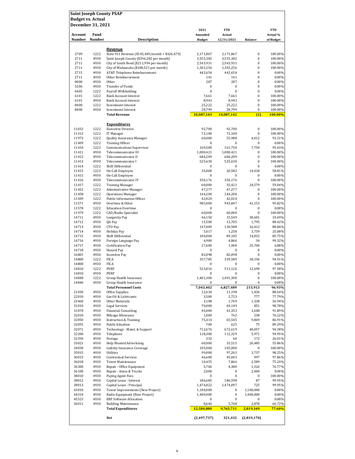| <b>Saint Joseph County PSAP</b> |              |                                                                 |                   |                          |                      |                      |
|---------------------------------|--------------|-----------------------------------------------------------------|-------------------|--------------------------|----------------------|----------------------|
| <b>Budget vs. Actual</b>        |              |                                                                 |                   |                          |                      |                      |
| December 31, 2021               |              |                                                                 | 2021              | <b>YTD</b>               |                      | <b>YTD</b>           |
| Account                         | Fund         |                                                                 | Amended           | Actual                   |                      | Actual %             |
| Number                          | Number       | <b>Description</b>                                              | <b>Budget</b>     | 12/31/2021               | <b>Balance</b>       | of Budget            |
|                                 |              |                                                                 |                   |                          |                      |                      |
| 2709                            | 1222         | Revenue<br>State 911 Revenue (\$145,449/month + \$426,479)      | 2,171,867         | 2,171,867                | $\bf{0}$             | 100.00%              |
| 2711                            | 4930         | Saint Joseph County (\$296,282 per month)                       | 3,555,382         | 3,555,382                | $\bf{0}$             | 100.00%              |
| 2711                            | 4930         | City of South Bend (\$211,994 per month)                        | 2,543,931         | 2,543,931                | $\bf{0}$             | 100.00%              |
| 2711                            | 4930         | City of Mishawaka (\$108,521 per month)                         | 1,302,256         | 1,302,256                | $\bf{0}$             | 100.00%              |
| 2715                            | 4930         | AT&T Telephone Reimbursement                                    | 442,654           | 442,654                  | $\bf{0}$             | $0.00\%$             |
| 2711                            | 4930         | Other Reimbursement                                             | 141               | 141                      | 0                    | $0.00\%$             |
| 0000                            | 4930         | Other                                                           | 287               | 287                      | 0<br>$\bf{0}$        | $0.00\%$             |
| 5206<br>6405                    | 4930<br>1222 | Transfer of Funds<br>Payroll Withholding                        | 0<br>0            | $\mathbf{0}$<br>$\bf{0}$ | $\bf{0}$             | $0.00\%$<br>0.00%    |
| 6101                            | 1222         | <b>Bank Account Interest</b>                                    | 7,661             | 7,661                    | $\bf{0}$             | 100.00%              |
| 6101                            | 4930         | <b>Bank Account Interest</b>                                    | 8,943             | 8,943                    | $\bf{0}$             | 100.00%              |
| 8400                            | 1222         | <b>Investment Interest</b>                                      | 25,222            | 25,222                   | $\bf{0}$             | 100.00%              |
| 8400                            | 4930         | <b>Investment Interest</b>                                      | 28,799            | 28,799                   | $\bf{0}$             | 100.00%              |
|                                 |              | <b>Total Revenue</b>                                            | 10,087,143        | 10,087,142               | (1)                  | 100.00%              |
|                                 |              | <b>Expenditures</b>                                             |                   |                          |                      |                      |
| 11032                           | 1222         | <b>Executive Director</b>                                       | 92,700            | 92,700                   | $\bf{0}$             | 100.00%              |
| 11312                           | 1222         | IT Manager                                                      | 72,100            | 72,100                   | $\bf{0}$             | 100.00%              |
| 11973                           | 1222         | Quality Assurance Manager                                       | 60,000            | 55,988                   | 4.012                | 93.31%               |
| 11409                           | 1222         | <b>Training Officer</b>                                         | $\bf{0}$          | $\bf{0}$                 | 0                    | $0.00\%$             |
| 11410                           | 1222         | <b>Communications Supervisor</b>                                | 169,500           | 161,750                  | 7,750                | 95.43%               |
| 11411                           | 4930         | Telecommunicator III                                            | 1,000,421         | 1,000,421                | 0                    | 100.00%              |
| 11412                           | 4930         | Telecommunicator II                                             | 684,209           | 684,209                  | 0                    | 100.00%              |
| 11413                           | 4930         | Telecommunicator I                                              | 525,630           | 525,630                  | $\bf{0}$<br>$\bf{0}$ | 100.00%              |
| 11414<br>11415                  | 1222<br>1222 | Shift Differential<br>On-Call Employee                          | 0<br>35,000       | $\bf{0}$<br>20,582       | 14,418               | $0.00\%$<br>58.81%   |
| 11415                           | 4930         | On-Call Employee                                                | 0                 | $\mathbf{0}$             | 0                    | 0.00%                |
| 11416                           | 4930         | Telecommunicator IV                                             | 350,176           | 350,176                  | $\bf{0}$             | 100.00%              |
| 11417                           | 1222         | <b>Training Manager</b>                                         | 60,000            | 35,421                   | 24,579               | 59.04%               |
| 11452                           | 1222         | <b>Administrative Manager</b>                                   | 47,277            | 47,277                   | 0                    | 100.00%              |
| 11458                           | 1222         | <b>Operations Manager</b>                                       | 144,200           | 144,200                  | $\bf{0}$             | 100.00%              |
| 11509                           | 1222         | Public Information Officer                                      | 42,024            | 42,024                   | $\bf{0}$             | 100.00%              |
| 11571                           | 4930         | Overtime & Other                                                | 985,000           | 943,847<br>$\bf{0}$      | 41,153<br>$\bf{0}$   | 95.82%<br>$0.00\%$   |
| 11578<br>11979                  | 1222<br>1222 | <b>Education Overtime</b><br>CAD/Radio Specialist               | 0<br>60,000       | 60,000                   | 0                    | 100.00%              |
| 14711                           | 4930         | Longevity Pay                                                   | 46,150            | 15,549                   | 30,601               | 33.69%               |
| 14712                           | 4930         | QA Pay                                                          | 15,500            | 13,705                   | 1,795                | 88.42%               |
| 14713                           | 4930         | CTO Pay                                                         | 147,000           | 130,588                  | 16,412               | 88.84%               |
| 14714                           | 4930         | <b>Holiday Pay</b>                                              | 5,017             | 1,258                    | 3,759                | 25.08%               |
| 14715                           | 4930         | Shift Differential                                              | 104,000           | 89,185                   | 14,815               | 85.75%               |
| 14716                           | 4930         | Foreign Language Pay                                            | 4,900             | 4,866                    | 34                   | 99.32%               |
| 14717                           | 4930         | Certification Pay                                               | 27,600            | 1.900                    | 25,700               | 6.88%                |
| 14718<br>16801                  | 4930<br>4930 | Hazard Pay<br><b>Incentive Pay</b>                              | 0<br>82,098       | 0<br>82,098              | 0<br>0               | $0.00\%$<br>$0.00\%$ |
| 14800                           | 1222         | <b>FICA</b>                                                     | 357,785           | 339,589                  | 18,196               | 94.91%               |
| 14800                           | 4930         | <b>FICA</b>                                                     | 0                 | $\bf{0}$                 | $\bf{0}$             | 0.00%                |
| 14810                           | 1222         | PERF                                                            | 523,816           | 511,126                  | 12,690               | 97.58%               |
| 14810                           | 4930         | PERF                                                            | 0                 | $\bf{0}$                 | 0                    | 0.00%                |
| 14840                           | 1222         | Group Health Insurance                                          | 1,401,300         | 1,401,300                | $\boldsymbol{0}$     | 100.00%              |
| 14840                           | 4930         | Group Health Insurance                                          | 0                 | $\bf{0}$                 | 0                    | $0.00\%$             |
|                                 |              | <b>Total Personnel Costs</b>                                    | 7,043,402         | 6,827,489                | 215,913              | 96.93%               |
| 21030<br>22010                  | 4930<br>4930 | Office Supplies<br>Gas Oil & Lubricants                         | 12,634<br>3,500   | 11,198<br>2,723          | 1,436<br>777         | 88.64%<br>77.79%     |
| 23460                           | 4930         | Other Materials                                                 | 3,108             | 1,769                    | 1,338                | 56.94%               |
| 31010                           | 4930         | <b>Legal Services</b>                                           | 70,000            | 69,149                   | 851                  | 98.78%               |
| 31070                           | 4930         | <b>Financial Consulting</b>                                     | 45,000            | 41,353                   | 3,648                | 91.89%               |
| 32010                           | 4930         | Mileage Allowance                                               | 1,000             | 762                      | 238                  | 76.22%               |
| 32050                           | 4930         | <b>Instruction &amp; Training</b>                               | 75,414            | 65,545                   | 9,869                | 86.91%               |
| 32055                           | 4930         | Public Eduation                                                 | 700               | 625                      | 75                   | 89.29%               |
| 32071                           | 4930         | Technology - Maint. & Support                                   | 712,676           | 672,619                  | 40,057               | 94.38%               |
| 32200                           | 4930         | Telephone                                                       | 118,300           | 112,329                  | 5,971                | 94.95%               |
| 32350<br>33021                  | 4930         | Postage<br><b>Help Wanted Advertising</b>                       | 232               | 60                       | 172<br>26,485        | 26.01%               |
| 34030                           | 4930<br>4930 | Liabiity Insurance Coverage                                     | 60,000<br>105,000 | 33,515<br>105,000        | 0                    | 55.86%<br>100.00%    |
| 35015                           | 4930         | Utilities                                                       | 99,000            | 97,263                   | 1,737                | 98.25%               |
| 36015                           | 4930         | <b>Contractual Services</b>                                     | 46,600            | 45,603                   | 997                  | 97.86%               |
| 36018                           | 4930         | Tower Maintenance                                               | 10,455            | 7,866                    | 2,589                | 75.24%               |
| 36300                           | 4930         | Repair - Office Equipment                                       | 5,706             | 4,380                    | 1,326                | 76.77%               |
| 36100                           | 4930         | Repair - Autos & Trucks                                         | 2,000             | 0                        | 2,000                | 0.00%                |
| 38010                           | 4930         | Paying Agent Fees                                               | 0                 | 0                        | 0                    | 100.00%              |
| 38012                           | 4930         | Capital Lease - Interest                                        | 186,685           | 186,598                  | 87                   | 99.95%               |
| 38013                           | 4930         | Capital Lease - Principal                                       | 1,474,822         | 1,474,097                | 725                  | 99.95%               |
| 43010                           | 4930         | Tower Improvements (New Project)                                | 1,100,000         | 0<br>$\pmb{0}$           | 1,100,000            | $0.00\%$             |
| 44310<br>45523                  | 4930<br>4930 | Radio Equipment (New Project)<br><b>ERP Software Allocation</b> | 1,400,000<br>0    | 0                        | 1,400,000<br>0       | $0.00\%$<br>$0.00\%$ |
| 36011                           | 4930         | <b>Building Maintenance</b>                                     | 8,646             | 5,768                    | 2,878                | 66.72%               |
|                                 |              | <b>Total Expenditures</b>                                       | 12,584,880        | 9,765,711                | 2,819,169            | 77.60%               |
|                                 |              |                                                                 |                   |                          |                      |                      |
|                                 |              | Net                                                             | (2,497,737)       | 321,432                  | (2,819,170)          |                      |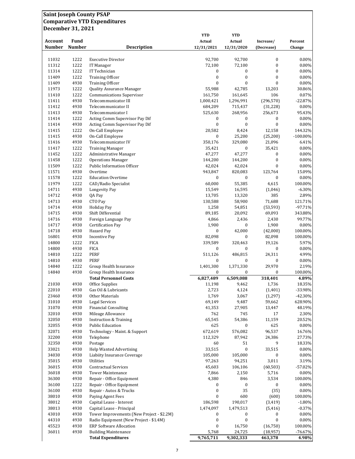| <b>Saint Joseph County PSAP</b> |               | <b>Comparative YTD Expenditures</b>                           |                           |                        |                              |                       |
|---------------------------------|---------------|---------------------------------------------------------------|---------------------------|------------------------|------------------------------|-----------------------|
| December 31, 2021               |               |                                                               |                           |                        |                              |                       |
|                                 |               |                                                               | <b>YTD</b>                | <b>YTD</b>             |                              |                       |
| <b>Account</b>                  | Fund          |                                                               | Actual                    | Actual                 | Increase/                    | Percent               |
| <b>Number</b>                   | <b>Number</b> | <b>Description</b>                                            | 12/31/2021                | 12/31/2020             | (Decrease)                   | Change                |
|                                 |               |                                                               |                           |                        |                              |                       |
| 11032<br>11312                  | 1222<br>1222  | <b>Executive Director</b><br>IT Manager                       | 92,700<br>72,100          | 92,700<br>72,100       | $\boldsymbol{0}$<br>$\bf{0}$ | 0.00%<br>0.00%        |
| 11314                           | 1222          | IT Technician                                                 | 0                         | 0                      | $\boldsymbol{0}$             | 0.00%                 |
| 11409                           | 1222          | <b>Training Officer</b>                                       | $\mathbf{0}$              | $\bf{0}$               | $\mathbf{0}$                 | 0.00%                 |
| 11409                           | 4930          | <b>Training Officer</b>                                       | $\bf{0}$                  | $\bf{0}$               | $\mathbf{0}$                 | 0.00%                 |
| 11973                           | 1222          | Quality Assurance Manager                                     | 55,988                    | 42,785                 | 13,203                       | 30.86%                |
| 11410                           | 1222          | <b>Communications Supervisor</b>                              | 161,750                   | 161,645                | 106                          | 0.07%                 |
| 11411<br>11412                  | 4930<br>4930  | Telecommunicator III<br>Telecommunicator II                   | 1,000,421<br>684,209      | 1,296,991<br>715,437   | (296, 570)<br>(31, 228)      | $-22.87%$<br>$0.00\%$ |
| 11413                           | 4930          | Telecommunicator I                                            | 525,630                   | 268,956                | 256,673                      | 95.43%                |
| 11414                           | 1222          | Acting Comm Supervisor Pay Dif                                | 0                         | 0                      | 0                            | 0.00%                 |
| 11414                           | 4930          | Acting Comm Supervisor Pay Dif                                | $\bf{0}$                  | $\bf{0}$               | $\mathbf{0}$                 | 0.00%                 |
| 11415                           | 1222          | On-Call Employee                                              | 20,582                    | 8,424                  | 12,158                       | 144.32%               |
| 11415                           | 4930          | On-Call Employee                                              | $\bf{0}$                  | 25,200                 | (25, 200)                    | $-100.00\%$           |
| 11416<br>11417                  | 4930<br>1222  | Telecommunicator IV<br><b>Training Manager</b>                | 350,176<br>35,421         | 329,080<br>0           | 21,096<br>35,421             | 6.41%<br>0.00%        |
| 11452                           | 1222          | Administrative Manager                                        | 47,277                    | 47,277                 | $\boldsymbol{0}$             | 0.00%                 |
| 11458                           | 1222          | <b>Operations Manager</b>                                     | 144,200                   | 144,200                | $\boldsymbol{0}$             | 0.00%                 |
| 11509                           | 1222          | Public Information Officer                                    | 42,024                    | 42,024                 | $\mathbf{0}$                 | 0.00%                 |
| 11571                           | 4930          | Overtime                                                      | 943,847                   | 820,083                | 123,764                      | 15.09%                |
| 11578                           | 1222          | <b>Education Overtime</b>                                     | 0                         | 0                      | 0                            | 0.00%                 |
| 11979<br>14711                  | 1222<br>4930  | CAD/Radio Specialist<br>Longevity Pay                         | 60,000<br>15,549          | 55,385<br>16,595       | 4,615<br>(1,046)             | 100.00%<br>$-6.30%$   |
| 14712                           | 4930          | QA Pay                                                        | 13,705                    | 13,320                 | 385                          | 2.89%                 |
| 14713                           | 4930          | CTO Pay                                                       | 130,588                   | 58,900                 | 71,688                       | 121.71%               |
| 14714                           | 4930          | <b>Holiday Pay</b>                                            | 1,258                     | 54,851                 | (53, 593)                    | $-97.71%$             |
| 14715                           | 4930          | Shift Differential                                            | 89,185                    | 20,092                 | 69,093                       | 343.88%               |
| 14716                           | 4930          | Foreign Language Pay                                          | 4,866                     | 2,436                  | 2,430                        | 99.77%                |
| 14717<br>14718                  | 4930<br>4930  | <b>Certification Pay</b><br>Hazard Pay                        | 1,900<br>$\boldsymbol{0}$ | 0<br>42,000            | 1,900<br>(42,000)            | 0.00%<br>100.00%      |
| 16801                           | 4930          | <b>Incentive Pay</b>                                          | 82,098                    | 0                      | 82,098                       | 100.00%               |
| 14800                           | 1222          | <b>FICA</b>                                                   | 339,589                   | 320,463                | 19,126                       | 5.97%                 |
| 14800                           | 4930          | <b>FICA</b>                                                   | $\boldsymbol{0}$          | $\bf{0}$               | $\bf{0}$                     | $0.00\%$              |
| 14810                           | 1222          | <b>PERF</b>                                                   | 511,126                   | 486,815                | 24,311                       | 4.99%                 |
| 14810                           | 4930          | <b>PERF</b>                                                   | $\bf{0}$                  | $\boldsymbol{0}$       | $\boldsymbol{0}$             | $0.00\%$              |
| 14840<br>14840                  | 1222<br>4930  | Group Health Insurance<br>Group Health Insurance              | 1,401,300<br>0            | 1,371,330<br>0         | 29,970<br>$\bf{0}$           | 2.19%<br>100.00%      |
|                                 |               | <b>Total Personnel Costs</b>                                  | 6,827,489                 | 6,509,088              | 318,401                      | 4.89%                 |
| 21030                           | 4930          | Office Supplies                                               | 11,198                    | 9,462                  | 1,736                        | 18.35%                |
| 22010                           | 4930          | Gas Oil & Lubricants                                          | 2,723                     | 4,124                  | (1, 401)                     | -33.98%               |
| 23460                           | 4930          | Other Materials                                               | 1,769                     | 3,067                  | (1, 297)                     | $-42.30%$             |
| 31010<br>31070                  | 4930<br>4930  | <b>Legal Services</b>                                         | 69,149                    | 9,487                  | 59,662                       | 628.90%<br>48.19%     |
| 32010                           | 4930          | <b>Financial Consulting</b><br>Mileage Allowance              | 41,353<br>762             | 27,905<br>745          | 13,447<br>17                 | 2.30%                 |
| 32050                           | 4930          | <b>Instruction &amp; Training</b>                             | 65,545                    | 54,386                 | 11,159                       | 20.52%                |
| 32055                           | 4930          | <b>Public Education</b>                                       | 625                       | 0                      | 625                          | $0.00\%$              |
| 32071                           | 4930          | Technology - Maint. & Support                                 | 672,619                   | 576,082                | 96,537                       | 16.76%                |
| 32200                           | 4930          | Telephone                                                     | 112,329                   | 87,942                 | 24,386                       | 27.73%                |
| 32350<br>33021                  | 4930<br>4930  | Postage<br><b>Help Wanted Advertising</b>                     | 60<br>33,515              | 51<br>$\boldsymbol{0}$ | 9<br>33,515                  | 18.33%<br>0.00%       |
| 34030                           | 4930          | Liabiity Insurance Coverage                                   | 105,000                   | 105,000                | $\boldsymbol{0}$             | 0.00%                 |
| 35015                           | 4930          | Utilities                                                     | 97,263                    | 94,251                 | 3,011                        | 3.19%                 |
| 36015                           | 4930          | <b>Contractual Services</b>                                   | 45,603                    | 106,106                | (60, 503)                    | $-57.02%$             |
| 36018                           | 4930          | <b>Tower Maintenance</b>                                      | 7,866                     | 2,150                  | 5,716                        | 0.00%                 |
| 36300                           | 4930          | Repair - Office Equipment                                     | 4,380                     | 846                    | 3,534                        | 100.00%               |
| 36100<br>36100                  | 1222<br>4930  | Repair - Office Equipment<br>Repair - Autos & Trucks          | 0<br>$\boldsymbol{0}$     | 0<br>35                | $\boldsymbol{0}$<br>(35)     | 0.00%<br>0.00%        |
| 38010                           | 4930          | Paying Agent Fees                                             | $\boldsymbol{0}$          | 600                    | (600)                        | 100.00%               |
| 38012                           | 4930          | Capital Lease - Interest                                      | 186,598                   | 190,017                | (3, 419)                     | $-1.80%$              |
| 38013                           | 4930          | Capital Lease - Principal                                     | 1,474,097                 | 1,479,513              | (5, 416)                     | $-0.37%$              |
| 43010                           | 4930          | Tower Improvements (New Project - \$2.2M)                     | 0                         | 0                      | 0                            | 0.00%                 |
| 44310                           | 4930          | Radio Equipment (New Project - \$1.4M)                        | $\boldsymbol{0}$          | $\boldsymbol{0}$       | $\bf{0}$                     | $0.00\%$              |
| 45523<br>36011                  | 4930<br>4930  | <b>ERP Software Allocation</b><br><b>Building Maintenance</b> | $\boldsymbol{0}$<br>5,768 | 16,750<br>24,725       | (16,750)<br>(18,957)         | 100.00%<br>$-76.67%$  |
|                                 |               | <b>Total Expenditures</b>                                     | 9,765,711                 | 9,302,333              | 463,378                      | 4.98%                 |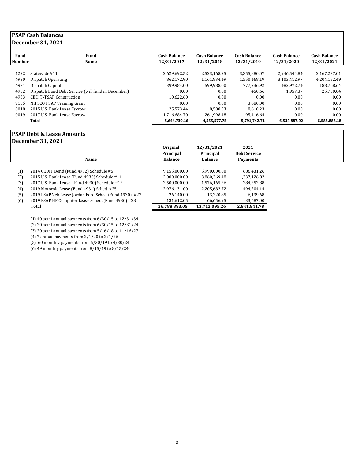## **PSAP Cash Balances December 31, 2021**

| Fund<br><b>Number</b><br>Name                      | <b>Cash Balance</b><br>12/31/2017 | <b>Cash Balance</b><br>12/31/2018 | <b>Cash Balance</b><br>12/31/2019 | <b>Cash Balance</b><br>12/31/2020 | <b>Cash Balance</b><br>12/31/2021 |
|----------------------------------------------------|-----------------------------------|-----------------------------------|-----------------------------------|-----------------------------------|-----------------------------------|
|                                                    |                                   |                                   |                                   |                                   |                                   |
| Statewide 911                                      | 2,629,692.52                      | 2.523.168.25                      | 3,355,880.07                      | 2.946.544.84                      | 2,167,237.01                      |
| Dispatch Operating                                 | 862.172.90                        | 1.161.834.49                      | 1.550.468.19                      | 3,103,412.97                      | 4,204,152.49                      |
| Dispatch Capital                                   | 399.984.00                        | 599.988.00                        | 777.236.92                        | 482.972.74                        | 188,768.64                        |
| Dispatch Bond Debt Service (will fund in December) | 0.00                              | 0.00                              | 450.66                            | 1.957.37                          | 25.730.04                         |
| CEDIT/PSAP Construction                            | 10.622.60                         | 0.00                              | 0.00                              | 0.00                              | 0.00                              |
| NIPSCO PSAP Training Grant                         | 0.00                              | 0.00                              | 3.680.00                          | 0.00                              | 0.00                              |
| 2015 U.S. Bank Lease Escrow                        | 25.573.44                         | 8.588.53                          | 8.610.23                          | 0.00                              | 0.00                              |
| 2017 U.S. Bank Lease Escrow                        | 1.716.684.70                      | 261.998.48                        | 95.416.64                         | 0.00                              | 0.00                              |
| Total                                              | 5,644,730.16                      | 4,555,577.75                      | 5,791,742.71                      | 6.534.887.92                      | 6,585,888.18                      |
|                                                    |                                   |                                   |                                   |                                   |                                   |

#### **PSAP Debt & Lease Amounts December 31, 2021**

|     | December 31, 2021                                      |                |                |                     |
|-----|--------------------------------------------------------|----------------|----------------|---------------------|
|     |                                                        | Original       | 12/31/2021     | 2021                |
|     |                                                        | Principal      | Principal      | <b>Debt Service</b> |
|     | Name                                                   | <b>Balance</b> | <b>Balance</b> | Payments            |
|     |                                                        |                |                |                     |
| (1) | 2014 CEDIT Bond (Fund 4932) Schedule #5                | 9,155,000.00   | 5,990,000.00   | 686,431.26          |
| (2) | 2015 U.S. Bank Lease (Fund 4930) Schedule #11          | 12,000,000.00  | 3,860,369.48   | 1,337,126.82        |
| (3) | 2017 U.S. Bank Lease (Fund 4930) Schedule #12          | 2,500,000.00   | 1,576,165.26   | 284,252.88          |
| (4) | 2019 Motorola Lease (Fund 4931) Sched. #25             | 2,976,131.00   | 2,205,682.72   | 494.204.14          |
| (5) | 2019 PSAP Veh Lease Jordan Ford Sched (Fund 4930). #27 | 26.140.00      | 13.220.85      | 6.139.68            |
| (6) | 2019 PSAP HP Computer Lease Sched. (Fund 4930) #28     | 131,612.05     | 66.656.95      | 33,687.00           |
|     | Total                                                  | 26,788,883.05  | 13.712.095.26  | 2,841,841.78        |
|     |                                                        |                |                |                     |

(1) 40 semi-annual payments from 6/30/15 to 12/31/34

(2) 20 semi-annual payments from 6/30/15 to 12/31/24

(3) 20 semi-annual payments from 5/16/18 to 11/16/27

(4) 7 annual payments from 2/1/20 to 2/1/26

(5) 60 monthly payments from 5/30/19 to 4/30/24

(6) 49 monthly payments from 8/15/19 to 8/15/24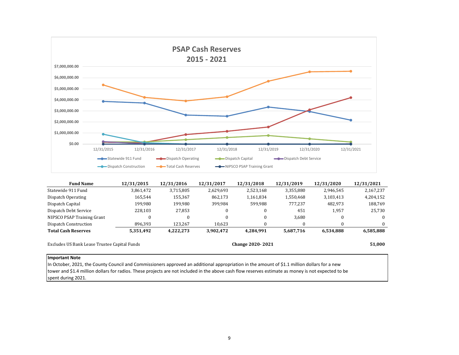

| <b>Fund Name</b>                             | 12/31/2015   | 12/31/2016 | 12/31/2017 | 12/31/2018              | 12/31/2019 | 12/31/2020 | 12/31/2021 |
|----------------------------------------------|--------------|------------|------------|-------------------------|------------|------------|------------|
| Statewide 911 Fund                           | 3,861,472    | 3,715,805  | 2,629,693  | 2,523,168               | 3,355,880  | 2,946,545  | 2,167,237  |
| Dispatch Operating                           | 165.544      | 155,367    | 862.173    | 1,161,834               | 1,550,468  | 3,103,413  | 4,204,152  |
| Dispatch Capital                             | 199,980      | 199,980    | 399,984    | 599,988                 | 777,237    | 482,973    | 188,769    |
| Dispatch Debt Service                        | 228,103      | 27,853     |            |                         | 451        | 1,957      | 25,730     |
| NIPSCO PSAP Training Grant                   | $\mathbf{0}$ | $\theta$   |            | 0                       | 3,680      | 0          | $\Omega$   |
| Dispatch Construction                        | 896,393      | 123.267    | 10.623     |                         | 0          |            | $\Omega$   |
| <b>Total Cash Reserves</b>                   | 5,351,492    | 4.222.273  | 3,902,472  | 4,284,991               | 5,687,716  | 6,534,888  | 6,585,888  |
| Excludes US Bank Lease Trustee Capital Funds |              |            |            | <b>Change 2020-2021</b> |            |            | 51,000     |

#### **Important Note**

In October, 2021, the County Council and Commissioners approved an additional appropriation in the amount of \$1.1 million dollars for a new tower and \$1.4 million dollars for radios. These projects are not included in the above cash flow reserves estimate as money is not expected to be spent during 2021.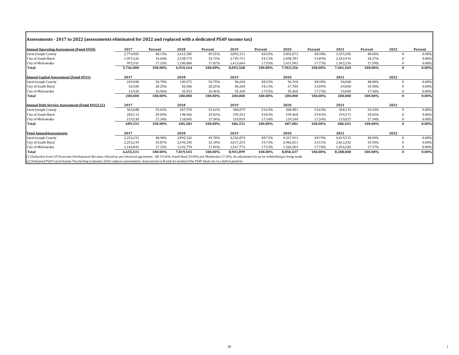|  |  | Assessments - 2017 to 2022 (assessments eliminated for 2022 and replaced with a dedicated PSAP income tax) |
|--|--|------------------------------------------------------------------------------------------------------------|
|  |  |                                                                                                            |

| <b>Annual Operating Assessment (Fund 4930)</b>                                                                                                                                                    | 2017      | Percent | 2018      | Percent | 2019      | Percent | 2020      | Percent | 2021      | Percent | 2022         | Percent  |
|---------------------------------------------------------------------------------------------------------------------------------------------------------------------------------------------------|-----------|---------|-----------|---------|-----------|---------|-----------|---------|-----------|---------|--------------|----------|
| Saint Joseph County                                                                                                                                                                               | 2,774,983 | 48.13%  | 3,415,385 | 49.25%  | 3,892,151 | 48.32%  | 3,852,672 | 48.38%  | 3,555,382 | 48.04%  | $\Omega$     | $0.00\%$ |
| City of South Bend                                                                                                                                                                                | 1,997,626 | 34.64%  | 2,338,773 | 33.73%  | 2,749,751 | 34.13%  | 2,698,781 | 33.89%  | 2,543,931 | 34.37%  |              | $0.00\%$ |
| City of Mishawaka                                                                                                                                                                                 | 993,391   | 17.23%  | 1.180.006 | 17.02%  | 1,413,666 | 17.55%  | 1,411,903 | 17.73%  | 1,302,256 | 17.59%  |              | 0.00%    |
| Total                                                                                                                                                                                             | 5,766,000 | 100.00% | 6,934,164 | 100.00% | 8,055,568 | 100.00% | 7,963,356 | 100.00% | 7,401,569 | 100.00% | $\mathbf{0}$ | $0.00\%$ |
| <b>Annual Captial Assessment (Fund 4931)</b>                                                                                                                                                      | 2017      |         | 2018      |         | 2019      |         | 2020      |         | 2021      |         | 2022         |          |
| Saint Joseph County                                                                                                                                                                               | 109,580   | 54.79%  | 109,571   | 54.79%  | 96,640    | 48.32%  | 96,760    | 48.38%  | 96,000    | 48.00%  |              | 0.00%    |
| City of South Bend                                                                                                                                                                                | 56,500    | 28.25%  | 56,506    | 28.25%  | 68,260    | 34.13%  | 67,780    | 33.89%  | 69,000    | 34.50%  |              | $0.00\%$ |
| City of Mishawaka                                                                                                                                                                                 | 33,920    | 16.96%  | 33,923    | 16.96%  | 35,100    | 17.55%  | 35,460    | 17.73%  | 35,000    | 17.50%  |              | 0.00%    |
| Total                                                                                                                                                                                             | 200,000   | 100.00% | 200,000   | 100.00% | 200,000   | 100.00% | 200,000   | 100.00% | 200,000   | 100.00% | $\mathbf{0}$ | $0.00\%$ |
| Annual Debt Service Assessment (Fund 4932) (1)                                                                                                                                                    | 2017      |         | 2018      |         | 2019      |         | 2020      |         | 2021      |         | 2022         |          |
| Saint Joseph County                                                                                                                                                                               | 369,688   | 53.63%  | 367,570   | 53.63%  | 368,079   | 53.63%  | 368,481   | 53.63%  | 368,133   | 53.63%  |              | 0.00%    |
| City of South Bend                                                                                                                                                                                | 200,113   | 29.03%  | 198,966   | 29.03%  | 199,242   | 29.03%  | 199,460   | 29.03%  | 199,271   | 29.03%  |              | $0.00\%$ |
| City of Mishawaka                                                                                                                                                                                 | 119,530   | 17.34%  | 118,845   | 17.34%  | 119,010   | 17.34%  | 119,140   | 17.34%  | 119,027   | 17.34%  |              | 0.00%    |
| Total                                                                                                                                                                                             | 689,331   | 100.00% | 685,381   | 100.00% | 686,331   | 100.00% | 687,081   | 100.00% | 686,431   | 100.00% | $\Omega$     | $0.00\%$ |
| <b>Total AnnualAssessments</b>                                                                                                                                                                    | 2017      |         | 2018      |         | 2019      |         | 2020      |         | 2021      |         | 2022         |          |
| Saint Joseph County                                                                                                                                                                               | 3,254,251 | 48.90%  | 3,892,526 | 49.78%  | 4,356,870 | 48.72%  | 4,317,913 | 48.79%  | 4,019,515 | 48.50%  | $\Omega$     | 0.00%    |
| City of South Bend                                                                                                                                                                                | 2,254,239 | 33.87%  | 2,594,245 | 33.18%  | 3,017,253 | 33.74%  | 2,966,021 | 33.51%  | 2,812,202 | 33.93%  | $\Omega$     | 0.00%    |
| City of Mishawaka                                                                                                                                                                                 | 1,146,841 | 17.23%  | 1,332,774 | 17.04%  | 1,567,776 | 17.53%  | 1,566,503 | 17.70%  | 1,456,283 | 17.57%  |              | 0.00%    |
| <b>Total</b>                                                                                                                                                                                      | 6,655,331 | 100.00% | 7,819,545 | 100.00% | 8,941,899 | 100.00% | 8,850,437 | 100.00% | 8,288,000 | 100.00% | $\bf{0}$     | $0.00\%$ |
| [1] Deduction from LIT Economic Development Revenue. Allocation per Interlocal agreement - SIC 53.63%, South Bend 29.03% and Mishawaka 17.34%. An adjustment for prior withholding is being made. |           |         |           |         |           |         |           |         |           |         |              |          |
| (2) Dedicated PSAP Local Income Tax starting in January 2022 replaces assessments. Assessments will only be needed if the PSAP funds are in a deficit position.                                   |           |         |           |         |           |         |           |         |           |         |              |          |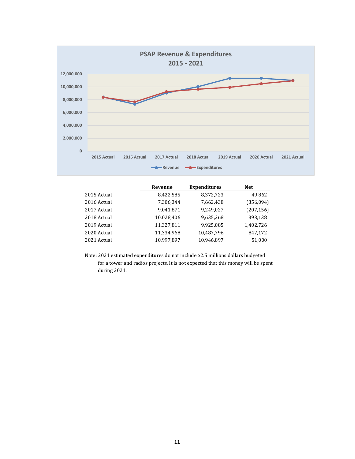

|             | Revenue    | <b>Expenditures</b> | <b>Net</b> |
|-------------|------------|---------------------|------------|
| 2015 Actual | 8,422,585  | 8,372,723           | 49,862     |
| 2016 Actual | 7,306,344  | 7,662,438           | (356,094)  |
| 2017 Actual | 9,041,871  | 9,249,027           | (207, 156) |
| 2018 Actual | 10,028,406 | 9,635,268           | 393,138    |
| 2019 Actual | 11,327,811 | 9,925,085           | 1,402,726  |
| 2020 Actual | 11,334,968 | 10,487,796          | 847,172    |
| 2021 Actual | 10.997.897 | 10,946,897          | 51,000     |

Note: 2021 estimated expenditures do not include \$2.5 millions dollars budgeted for a tower and radios projects. It is not expected that this money will be spent during 2021.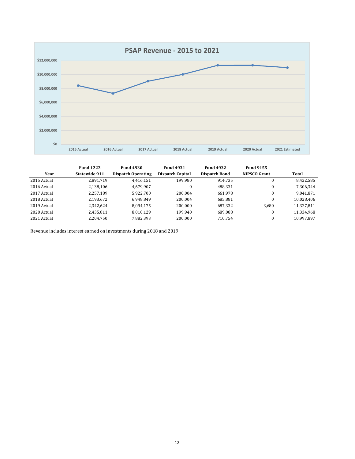

|             | <b>Fund 1222</b> | <b>Fund 4930</b>   | <b>Fund 4931</b> | <b>Fund 4932</b> | <b>Fund 9155</b>    |            |
|-------------|------------------|--------------------|------------------|------------------|---------------------|------------|
| Year        | Statewide 911    | Dispatch Operating | Dispatch Capital | Dispatch Bond    | <b>NIPSCO Grant</b> | Total      |
| 2015 Actual | 2,891,719        | 4.416.151          | 199,980          | 914.735          | 0                   | 8,422,585  |
| 2016 Actual | 2,138,106        | 4,679,907          | $\bf{0}$         | 488.331          |                     | 7,306,344  |
| 2017 Actual | 2,257,189        | 5,922,700          | 200,004          | 661,978          | 0                   | 9,041,871  |
| 2018 Actual | 2,193,672        | 6.948.849          | 200.004          | 685.881          |                     | 10,028,406 |
| 2019 Actual | 2,342,624        | 8,094,175          | 200,000          | 687,332          | 3,680               | 11,327,811 |
| 2020 Actual | 2,435,811        | 8,010,129          | 199,940          | 689,088          | 0                   | 11,334,968 |
| 2021 Actual | 2,204,750        | 7,882,393          | 200.000          | 710.754          |                     | 10.997.897 |

Revenue includes interest earned on investments during 2018 and 2019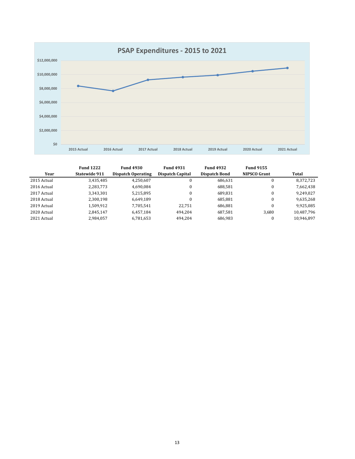

|             | <b>Fund 1222</b> | <b>Fund 4930</b>   | <b>Fund 4931</b> | <b>Fund 4932</b>     | <b>Fund 9155</b>    |            |
|-------------|------------------|--------------------|------------------|----------------------|---------------------|------------|
| Year        | Statewide 911    | Dispatch Operating | Dispatch Capital | <b>Dispatch Bond</b> | <b>NIPSCO Grant</b> | Total      |
| 2015 Actual | 3,435,485        | 4.250.607          | 0                | 686.631              |                     | 8,372,723  |
| 2016 Actual | 2,283,773        | 4.690.084          | $\bf{0}$         | 688.581              |                     | 7,662,438  |
| 2017 Actual | 3,343,301        | 5,215,895          | $\Omega$         | 689.831              |                     | 9,249,027  |
| 2018 Actual | 2,300,198        | 6,649,189          | $\Omega$         | 685.881              |                     | 9,635,268  |
| 2019 Actual | 1,509,912        | 7,705,541          | 22.751           | 686.881              |                     | 9,925,085  |
| 2020 Actual | 2.845.147        | 6.457.184          | 494.204          | 687.581              | 3.680               | 10,487,796 |
| 2021 Actual | 2,984,057        | 6,781,653          | 494,204          | 686,983              |                     | 10.946.897 |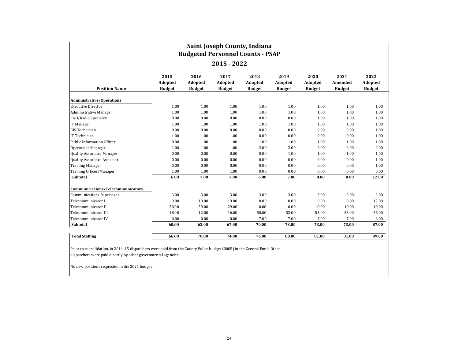| Saint Joseph County, Indiana<br><b>Budgeted Personnel Counts - PSAP</b> |                                         |                                  |                                  |                                  |                                  |                                  |                                  |                                  |
|-------------------------------------------------------------------------|-----------------------------------------|----------------------------------|----------------------------------|----------------------------------|----------------------------------|----------------------------------|----------------------------------|----------------------------------|
| 2015 - 2022                                                             |                                         |                                  |                                  |                                  |                                  |                                  |                                  |                                  |
| <b>Position Name</b>                                                    | 2015<br><b>Adopted</b><br><b>Budget</b> | 2016<br>Adopted<br><b>Budget</b> | 2017<br>Adopted<br><b>Budget</b> | 2018<br>Adopted<br><b>Budget</b> | 2019<br>Adopted<br><b>Budget</b> | 2020<br>Adopted<br><b>Budget</b> | 2021<br>Amended<br><b>Budget</b> | 2022<br>Adopted<br><b>Budget</b> |
| <b>Administrative/Operations</b>                                        |                                         |                                  |                                  |                                  |                                  |                                  |                                  |                                  |
| <b>Executive Director</b>                                               | 1.00                                    | 1.00                             | 1.00                             | 1.00                             | 1.00                             | 1.00                             | 1.00                             | 1.00                             |
| Administrative Manager                                                  | 1.00                                    | 1.00                             | 1.00                             | 1.00                             | 1.00                             | 1.00                             | 1.00                             | 1.00                             |
| CAD/Radio Specialist                                                    | 0.00                                    | 0.00                             | 0.00                             | 0.00                             | 0.00                             | 1.00                             | 1.00                             | 1.00                             |
| IT Manager                                                              | 1.00                                    | 1.00                             | 1.00                             | 1.00                             | 1.00                             | 1.00                             | 1.00                             | 1.00                             |
| <b>GIS Technician</b>                                                   | 0.00                                    | 0.00                             | 0.00                             | 0.00                             | 0.00                             | 0.00                             | 0.00                             | 1.00                             |
| IT Technician                                                           | 1.00                                    | 1.00                             | 1.00                             | 0.00                             | 0.00                             | 0.00                             | 0.00                             | 1.00                             |
| Public Information Officer                                              | 0.00                                    | 1.00                             | 1.00                             | 1.00                             | 1.00                             | 1.00                             | 1.00                             | 1.00                             |
| <b>Operations Manager</b>                                               | 1.00                                    | 1.00                             | 1.00                             | 2.00                             | 2.00                             | 2.00                             | 2.00                             | 2.00                             |
| Quality Assurance Manager                                               | 0.00                                    | 0.00                             | 0.00                             | 0.00                             | 1.00                             | 1.00                             | 1.00                             | 1.00                             |
| Quality Assurance Assistant                                             | 0.00                                    | 0.00                             | 0.00                             | 0.00                             | 0.00                             | 0.00                             | 0.00                             | 1.00                             |
| <b>Training Manager</b>                                                 | 0.00                                    | 0.00                             | 0.00                             | 0.00                             | 0.00                             | 0.00                             | 0.00                             | 1.00                             |
| Training Officer/Manager                                                | 1.00                                    | 1.00                             | 1.00                             | 0.00                             | 0.00                             | 0.00                             | 0.00                             | 0.00                             |
| Subtotal                                                                | 6.00                                    | 7.00                             | 7.00                             | 6.00                             | 7.00                             | 8.00                             | 8.00                             | 12.00                            |
| Communicicaions/Telecommunicators                                       |                                         |                                  |                                  |                                  |                                  |                                  |                                  |                                  |
| <b>Communications Supervisor</b>                                        | 3.00                                    | 3.00                             | 3.00                             | 3.00                             | 3.00                             | 3.00                             | 3.00                             | 3.00                             |
| Telecommunicator I                                                      | 9.00                                    | 19.00                            | 19.00                            | 0.00                             | 0.00                             | 0.00                             | 0.00                             | 12.00                            |
| Telecommunicator II                                                     | 30.00                                   | 29.00                            | 29.00                            | 10.00                            | 10.00                            | 10.00                            | 10.00                            | 10.00                            |
| Telecommunicator III                                                    | 18.00                                   | 12.00                            | 16.00                            | 50.00                            | 53.00                            | 53.00                            | 53.00                            | 56.00                            |
| Telecommunicator IV                                                     | 0.00                                    | 0.00                             | 0.00                             | 7.00                             | 7.00                             | 7.00                             | 7.00                             | 6.00                             |
| Subtotal                                                                | 60.00                                   | 63.00                            | 67.00                            | 70.00                            | 73.00                            | 73.00                            | 73.00                            | 87.00                            |
| <b>Total Staffing</b>                                                   | 66.00                                   | 70.00                            | 74.00                            | 76.00                            | 80.00                            | 81.00                            | 81.00                            | 99.00                            |

Prior to consolidation, in 2014, 15 dispatchers were paid from the County Police budget (0005) in the General Fund. Other dispatchers were paid directly by other governmental agencies.

No new positions requested in the 2021 budget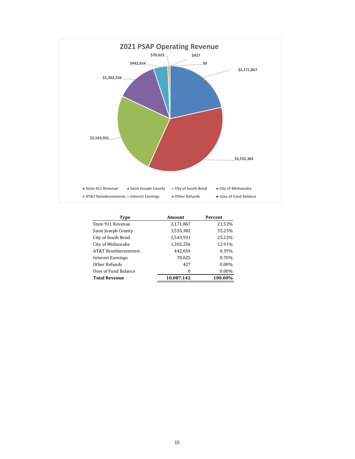

| Type                 | Amount     | Percent  |
|----------------------|------------|----------|
| State 911 Revenue    | 2,171,867  | 21.53%   |
| Saint Joseph County  | 3,555,382  | 35.25%   |
| City of South Bend   | 2,543,931  | 25.22%   |
| City of Mishawaka    | 1,302,256  | 12.91%   |
| AT&T Reimbursements  | 442,654    | 4.39%    |
| Interest Earnings    | 70,625     | 0.70%    |
| Other Refunds        | 427        | $0.00\%$ |
| Uses of Fund Balance | 0          | $0.00\%$ |
| <b>Total Revenue</b> | 10,087,142 | 100.00%  |